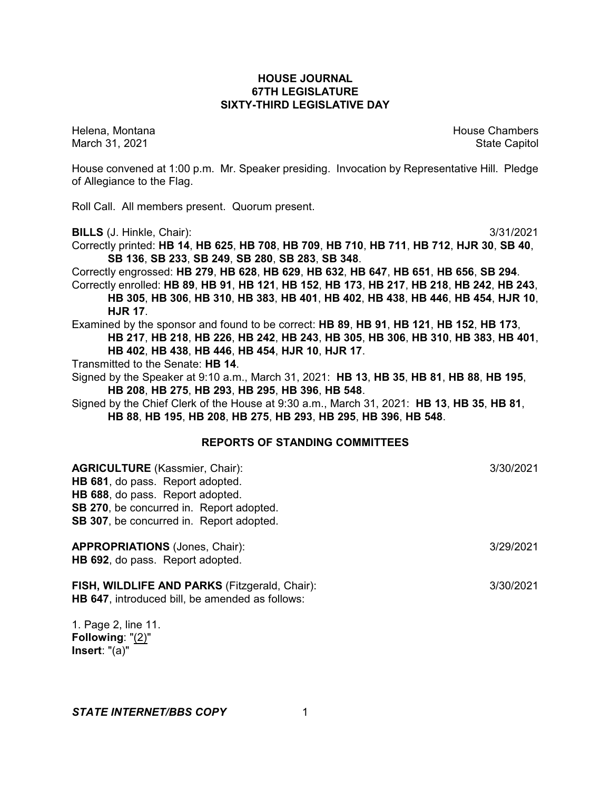### **HOUSE JOURNAL 67TH LEGISLATURE SIXTY-THIRD LEGISLATIVE DAY**

Helena, Montana House Chambers Chambers Chambers and House Chambers Chambers Chambers Chambers and House Chambers and House Chambers and House Chambers and House Chambers and House Chambers and House Chambers and House Cha March 31, 2021 **State Capitol** 

House convened at 1:00 p.m. Mr. Speaker presiding. Invocation by Representative Hill. Pledge of Allegiance to the Flag.

Roll Call. All members present. Quorum present.

**BILLS** (J. Hinkle, Chair): 3/31/2021

Correctly printed: **HB 14**, **HB 625**, **HB 708**, **HB 709**, **HB 710**, **HB 711**, **HB 712**, **HJR 30**, **SB 40**, **SB 136**, **SB 233**, **SB 249**, **SB 280**, **SB 283**, **SB 348**.

Correctly engrossed: **HB 279**, **HB 628**, **HB 629**, **HB 632**, **HB 647**, **HB 651**, **HB 656**, **SB 294**.

Correctly enrolled: **HB 89**, **HB 91**, **HB 121**, **HB 152**, **HB 173**, **HB 217**, **HB 218**, **HB 242**, **HB 243**, **HB 305**, **HB 306**, **HB 310**, **HB 383**, **HB 401**, **HB 402**, **HB 438**, **HB 446**, **HB 454**, **HJR 10**, **HJR 17**.

Examined by the sponsor and found to be correct: **HB 89**, **HB 91**, **HB 121**, **HB 152**, **HB 173**, **HB 217**, **HB 218**, **HB 226**, **HB 242**, **HB 243**, **HB 305**, **HB 306**, **HB 310**, **HB 383**, **HB 401**, **HB 402**, **HB 438**, **HB 446**, **HB 454**, **HJR 10**, **HJR 17**.

Transmitted to the Senate: **HB 14**.

Signed by the Speaker at 9:10 a.m., March 31, 2021: **HB 13**, **HB 35**, **HB 81**, **HB 88**, **HB 195**, **HB 208**, **HB 275**, **HB 293**, **HB 295**, **HB 396**, **HB 548**.

Signed by the Chief Clerk of the House at 9:30 a.m., March 31, 2021: **HB 13**, **HB 35**, **HB 81**, **HB 88**, **HB 195**, **HB 208**, **HB 275**, **HB 293**, **HB 295**, **HB 396**, **HB 548**.

### **REPORTS OF STANDING COMMITTEES**

| <b>AGRICULTURE</b> (Kassmier, Chair):<br>HB 681, do pass. Report adopted.<br>HB 688, do pass. Report adopted.<br>SB 270, be concurred in. Report adopted.<br>SB 307, be concurred in. Report adopted. | 3/30/2021 |
|-------------------------------------------------------------------------------------------------------------------------------------------------------------------------------------------------------|-----------|
| <b>APPROPRIATIONS (Jones, Chair):</b><br>HB 692, do pass. Report adopted.                                                                                                                             | 3/29/2021 |
| <b>FISH, WILDLIFE AND PARKS (Fitzgerald, Chair):</b><br>HB 647, introduced bill, be amended as follows:                                                                                               | 3/30/2021 |
| 1. Page 2, line 11.                                                                                                                                                                                   |           |

**Following**: "(2)" **Insert**: "(a)"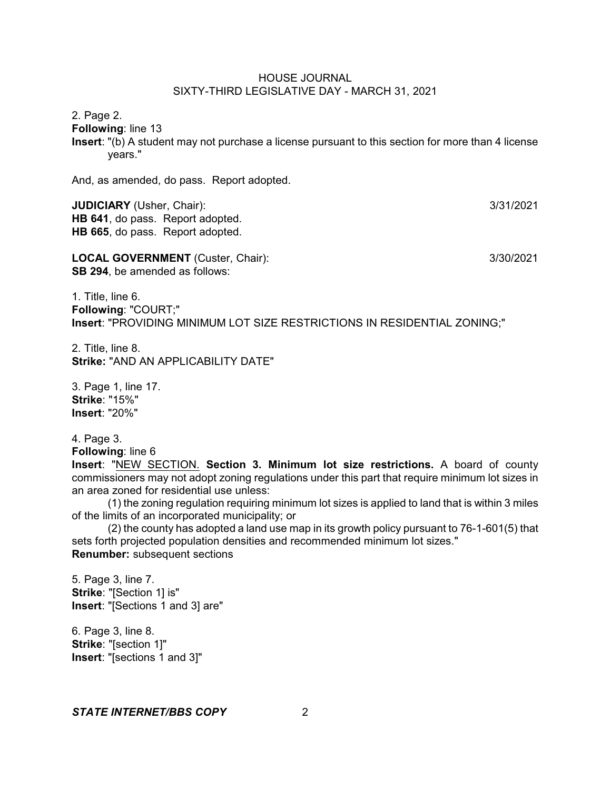2. Page 2. **Following**: line 13 **Insert**: "(b) A student may not purchase a license pursuant to this section for more than 4 license years."

And, as amended, do pass. Report adopted.

**JUDICIARY** (Usher, Chair): 3/31/2021 **HB 641**, do pass. Report adopted. **HB 665**, do pass. Report adopted.

LOCAL GOVERNMENT (Custer, Chair): 3/30/2021 **SB 294**, be amended as follows:

1. Title, line 6. **Following**: "COURT;" **Insert**: "PROVIDING MINIMUM LOT SIZE RESTRICTIONS IN RESIDENTIAL ZONING;"

2. Title, line 8. **Strike:** "AND AN APPLICABILITY DATE"

3. Page 1, line 17. **Strike**: "15%" **Insert**: "20%"

4. Page 3.

**Following**: line 6

**Insert**: "NEW SECTION. **Section 3. Minimum lot size restrictions.** A board of county commissioners may not adopt zoning regulations under this part that require minimum lot sizes in an area zoned for residential use unless:

(1) the zoning regulation requiring minimum lot sizes is applied to land that is within 3 miles of the limits of an incorporated municipality; or

(2) the county has adopted a land use map in its growth policy pursuant to 76-1-601(5) that sets forth projected population densities and recommended minimum lot sizes." **Renumber:** subsequent sections

5. Page 3, line 7. **Strike**: "[Section 1] is" **Insert**: "[Sections 1 and 3] are"

6. Page 3, line 8. **Strike**: "[section 1]" **Insert**: "[sections 1 and 3]"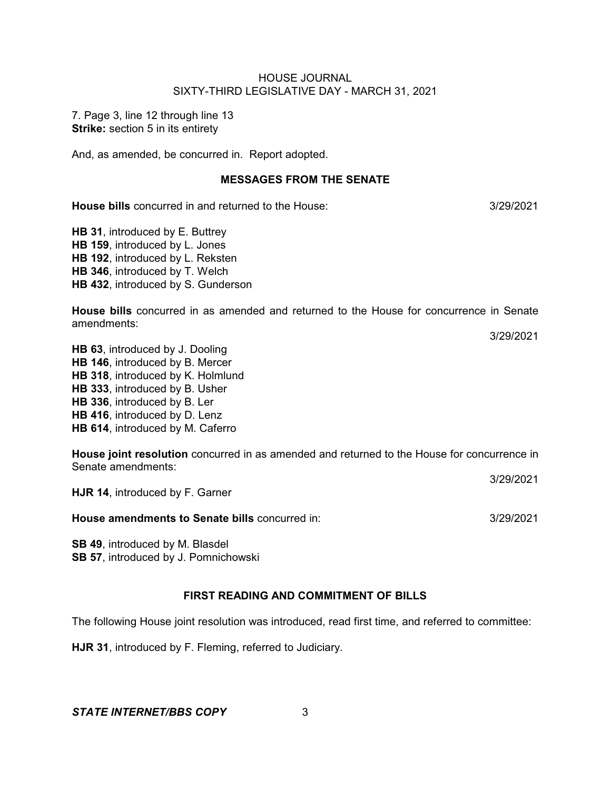7. Page 3, line 12 through line 13 **Strike:** section 5 in its entirety

And, as amended, be concurred in. Report adopted.

### **MESSAGES FROM THE SENATE**

**House bills** concurred in and returned to the House:  $3/29/2021$ 

**HB 31**, introduced by E. Buttrey **HB 159**, introduced by L. Jones **HB 192**, introduced by L. Reksten **HB 346**, introduced by T. Welch **HB 432**, introduced by S. Gunderson

**House bills** concurred in as amended and returned to the House for concurrence in Senate amendments:

3/29/2021

3/29/2021

**HB 63**, introduced by J. Dooling **HB 146**, introduced by B. Mercer **HB 318**, introduced by K. Holmlund **HB 333**, introduced by B. Usher **HB 336**, introduced by B. Ler **HB 416**, introduced by D. Lenz **HB 614**, introduced by M. Caferro

**House joint resolution** concurred in as amended and returned to the House for concurrence in Senate amendments:

**HJR 14**, introduced by F. Garner

**House amendments to Senate bills** concurred in: 3/29/2021

**SB 49**, introduced by M. Blasdel **SB 57**, introduced by J. Pomnichowski

### **FIRST READING AND COMMITMENT OF BILLS**

The following House joint resolution was introduced, read first time, and referred to committee:

**HJR 31**, introduced by F. Fleming, referred to Judiciary.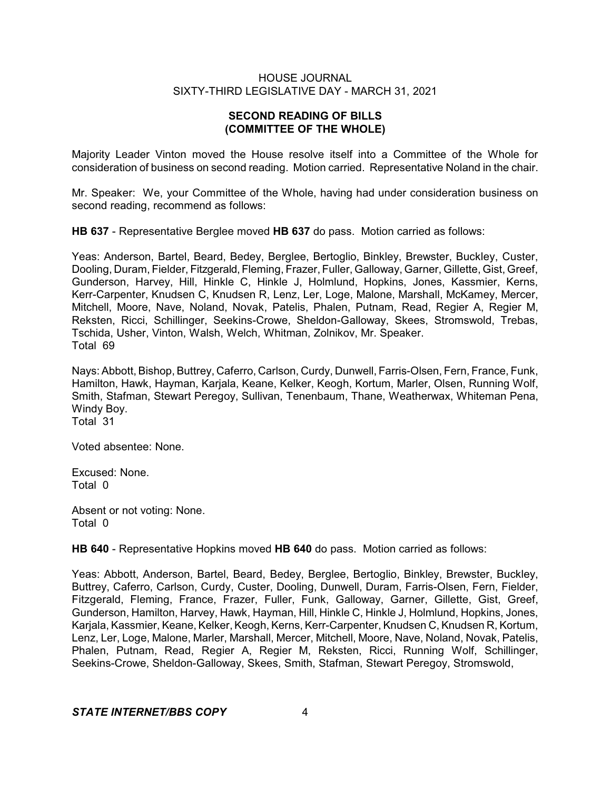# **SECOND READING OF BILLS (COMMITTEE OF THE WHOLE)**

Majority Leader Vinton moved the House resolve itself into a Committee of the Whole for consideration of business on second reading. Motion carried. Representative Noland in the chair.

Mr. Speaker: We, your Committee of the Whole, having had under consideration business on second reading, recommend as follows:

**HB 637** - Representative Berglee moved **HB 637** do pass. Motion carried as follows:

Yeas: Anderson, Bartel, Beard, Bedey, Berglee, Bertoglio, Binkley, Brewster, Buckley, Custer, Dooling, Duram, Fielder, Fitzgerald, Fleming, Frazer, Fuller, Galloway, Garner, Gillette, Gist, Greef, Gunderson, Harvey, Hill, Hinkle C, Hinkle J, Holmlund, Hopkins, Jones, Kassmier, Kerns, Kerr-Carpenter, Knudsen C, Knudsen R, Lenz, Ler, Loge, Malone, Marshall, McKamey, Mercer, Mitchell, Moore, Nave, Noland, Novak, Patelis, Phalen, Putnam, Read, Regier A, Regier M, Reksten, Ricci, Schillinger, Seekins-Crowe, Sheldon-Galloway, Skees, Stromswold, Trebas, Tschida, Usher, Vinton, Walsh, Welch, Whitman, Zolnikov, Mr. Speaker. Total 69

Nays: Abbott, Bishop, Buttrey, Caferro, Carlson, Curdy, Dunwell, Farris-Olsen, Fern, France, Funk, Hamilton, Hawk, Hayman, Karjala, Keane, Kelker, Keogh, Kortum, Marler, Olsen, Running Wolf, Smith, Stafman, Stewart Peregoy, Sullivan, Tenenbaum, Thane, Weatherwax, Whiteman Pena, Windy Boy. Total 31

Voted absentee: None.

Excused: None. Total 0

Absent or not voting: None. Total 0

**HB 640** - Representative Hopkins moved **HB 640** do pass. Motion carried as follows:

Yeas: Abbott, Anderson, Bartel, Beard, Bedey, Berglee, Bertoglio, Binkley, Brewster, Buckley, Buttrey, Caferro, Carlson, Curdy, Custer, Dooling, Dunwell, Duram, Farris-Olsen, Fern, Fielder, Fitzgerald, Fleming, France, Frazer, Fuller, Funk, Galloway, Garner, Gillette, Gist, Greef, Gunderson, Hamilton, Harvey, Hawk, Hayman, Hill, Hinkle C, Hinkle J, Holmlund, Hopkins, Jones, Karjala, Kassmier, Keane, Kelker, Keogh, Kerns, Kerr-Carpenter, Knudsen C, Knudsen R, Kortum, Lenz, Ler, Loge, Malone, Marler, Marshall, Mercer, Mitchell, Moore, Nave, Noland, Novak, Patelis, Phalen, Putnam, Read, Regier A, Regier M, Reksten, Ricci, Running Wolf, Schillinger, Seekins-Crowe, Sheldon-Galloway, Skees, Smith, Stafman, Stewart Peregoy, Stromswold,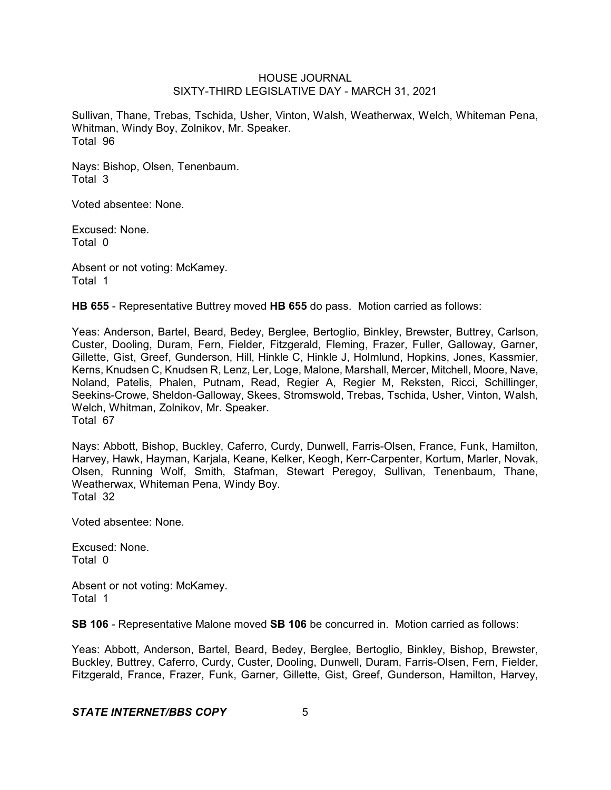Sullivan, Thane, Trebas, Tschida, Usher, Vinton, Walsh, Weatherwax, Welch, Whiteman Pena, Whitman, Windy Boy, Zolnikov, Mr. Speaker. Total 96

Nays: Bishop, Olsen, Tenenbaum. Total 3

Voted absentee: None.

Excused: None. Total 0

Absent or not voting: McKamey. Total 1

**HB 655** - Representative Buttrey moved **HB 655** do pass. Motion carried as follows:

Yeas: Anderson, Bartel, Beard, Bedey, Berglee, Bertoglio, Binkley, Brewster, Buttrey, Carlson, Custer, Dooling, Duram, Fern, Fielder, Fitzgerald, Fleming, Frazer, Fuller, Galloway, Garner, Gillette, Gist, Greef, Gunderson, Hill, Hinkle C, Hinkle J, Holmlund, Hopkins, Jones, Kassmier, Kerns, Knudsen C, Knudsen R, Lenz, Ler, Loge, Malone, Marshall, Mercer, Mitchell, Moore, Nave, Noland, Patelis, Phalen, Putnam, Read, Regier A, Regier M, Reksten, Ricci, Schillinger, Seekins-Crowe, Sheldon-Galloway, Skees, Stromswold, Trebas, Tschida, Usher, Vinton, Walsh, Welch, Whitman, Zolnikov, Mr. Speaker. Total 67

Nays: Abbott, Bishop, Buckley, Caferro, Curdy, Dunwell, Farris-Olsen, France, Funk, Hamilton, Harvey, Hawk, Hayman, Karjala, Keane, Kelker, Keogh, Kerr-Carpenter, Kortum, Marler, Novak, Olsen, Running Wolf, Smith, Stafman, Stewart Peregoy, Sullivan, Tenenbaum, Thane, Weatherwax, Whiteman Pena, Windy Boy. Total 32

Voted absentee: None.

Excused: None. Total 0

Absent or not voting: McKamey. Total 1

**SB 106** - Representative Malone moved **SB 106** be concurred in. Motion carried as follows:

Yeas: Abbott, Anderson, Bartel, Beard, Bedey, Berglee, Bertoglio, Binkley, Bishop, Brewster, Buckley, Buttrey, Caferro, Curdy, Custer, Dooling, Dunwell, Duram, Farris-Olsen, Fern, Fielder, Fitzgerald, France, Frazer, Funk, Garner, Gillette, Gist, Greef, Gunderson, Hamilton, Harvey,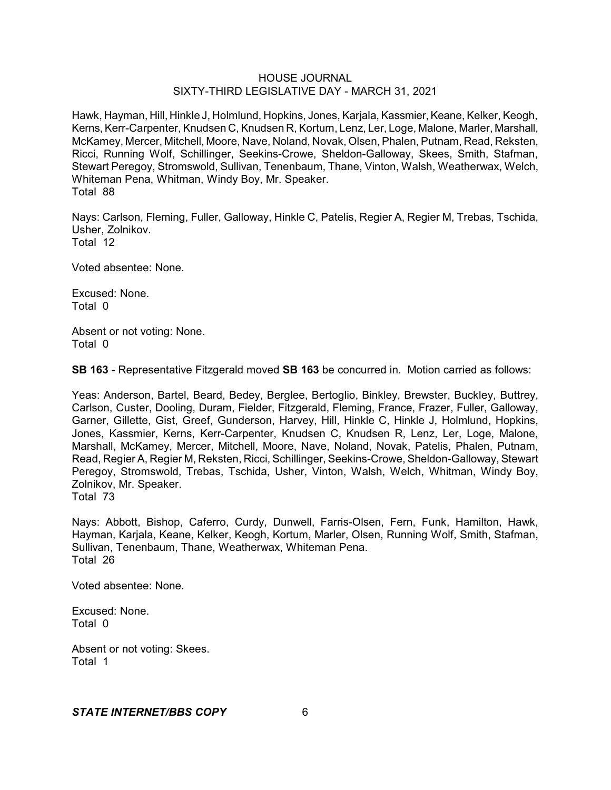Hawk, Hayman, Hill, Hinkle J, Holmlund, Hopkins, Jones, Karjala, Kassmier, Keane, Kelker, Keogh, Kerns, Kerr-Carpenter, Knudsen C, Knudsen R, Kortum, Lenz, Ler, Loge, Malone, Marler, Marshall, McKamey, Mercer, Mitchell, Moore, Nave, Noland, Novak, Olsen, Phalen, Putnam, Read, Reksten, Ricci, Running Wolf, Schillinger, Seekins-Crowe, Sheldon-Galloway, Skees, Smith, Stafman, Stewart Peregoy, Stromswold, Sullivan, Tenenbaum, Thane, Vinton, Walsh, Weatherwax, Welch, Whiteman Pena, Whitman, Windy Boy, Mr. Speaker. Total 88

Nays: Carlson, Fleming, Fuller, Galloway, Hinkle C, Patelis, Regier A, Regier M, Trebas, Tschida, Usher, Zolnikov. Total 12

Voted absentee: None.

Excused: None. Total 0

Absent or not voting: None. Total 0

**SB 163** - Representative Fitzgerald moved **SB 163** be concurred in. Motion carried as follows:

Yeas: Anderson, Bartel, Beard, Bedey, Berglee, Bertoglio, Binkley, Brewster, Buckley, Buttrey, Carlson, Custer, Dooling, Duram, Fielder, Fitzgerald, Fleming, France, Frazer, Fuller, Galloway, Garner, Gillette, Gist, Greef, Gunderson, Harvey, Hill, Hinkle C, Hinkle J, Holmlund, Hopkins, Jones, Kassmier, Kerns, Kerr-Carpenter, Knudsen C, Knudsen R, Lenz, Ler, Loge, Malone, Marshall, McKamey, Mercer, Mitchell, Moore, Nave, Noland, Novak, Patelis, Phalen, Putnam, Read, Regier A, Regier M, Reksten, Ricci, Schillinger, Seekins-Crowe, Sheldon-Galloway, Stewart Peregoy, Stromswold, Trebas, Tschida, Usher, Vinton, Walsh, Welch, Whitman, Windy Boy, Zolnikov, Mr. Speaker. Total 73

Nays: Abbott, Bishop, Caferro, Curdy, Dunwell, Farris-Olsen, Fern, Funk, Hamilton, Hawk, Hayman, Karjala, Keane, Kelker, Keogh, Kortum, Marler, Olsen, Running Wolf, Smith, Stafman, Sullivan, Tenenbaum, Thane, Weatherwax, Whiteman Pena. Total 26

Voted absentee: None.

Excused: None. Total 0

Absent or not voting: Skees. Total 1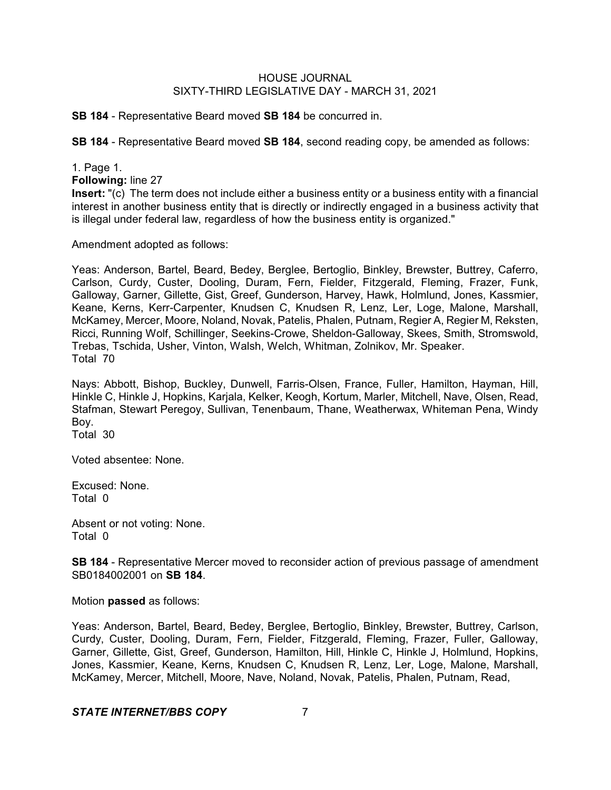**SB 184** - Representative Beard moved **SB 184** be concurred in.

**SB 184** - Representative Beard moved **SB 184**, second reading copy, be amended as follows:

1. Page 1.

**Following:** line 27

**Insert:** "(c) The term does not include either a business entity or a business entity with a financial interest in another business entity that is directly or indirectly engaged in a business activity that is illegal under federal law, regardless of how the business entity is organized."

Amendment adopted as follows:

Yeas: Anderson, Bartel, Beard, Bedey, Berglee, Bertoglio, Binkley, Brewster, Buttrey, Caferro, Carlson, Curdy, Custer, Dooling, Duram, Fern, Fielder, Fitzgerald, Fleming, Frazer, Funk, Galloway, Garner, Gillette, Gist, Greef, Gunderson, Harvey, Hawk, Holmlund, Jones, Kassmier, Keane, Kerns, Kerr-Carpenter, Knudsen C, Knudsen R, Lenz, Ler, Loge, Malone, Marshall, McKamey, Mercer, Moore, Noland, Novak, Patelis, Phalen, Putnam, Regier A, Regier M, Reksten, Ricci, Running Wolf, Schillinger, Seekins-Crowe, Sheldon-Galloway, Skees, Smith, Stromswold, Trebas, Tschida, Usher, Vinton, Walsh, Welch, Whitman, Zolnikov, Mr. Speaker. Total 70

Nays: Abbott, Bishop, Buckley, Dunwell, Farris-Olsen, France, Fuller, Hamilton, Hayman, Hill, Hinkle C, Hinkle J, Hopkins, Karjala, Kelker, Keogh, Kortum, Marler, Mitchell, Nave, Olsen, Read, Stafman, Stewart Peregoy, Sullivan, Tenenbaum, Thane, Weatherwax, Whiteman Pena, Windy Boy.

Total 30

Voted absentee: None.

Excused: None. Total 0

Absent or not voting: None. Total 0

**SB 184** - Representative Mercer moved to reconsider action of previous passage of amendment SB0184002001 on **SB 184**.

Motion **passed** as follows:

Yeas: Anderson, Bartel, Beard, Bedey, Berglee, Bertoglio, Binkley, Brewster, Buttrey, Carlson, Curdy, Custer, Dooling, Duram, Fern, Fielder, Fitzgerald, Fleming, Frazer, Fuller, Galloway, Garner, Gillette, Gist, Greef, Gunderson, Hamilton, Hill, Hinkle C, Hinkle J, Holmlund, Hopkins, Jones, Kassmier, Keane, Kerns, Knudsen C, Knudsen R, Lenz, Ler, Loge, Malone, Marshall, McKamey, Mercer, Mitchell, Moore, Nave, Noland, Novak, Patelis, Phalen, Putnam, Read,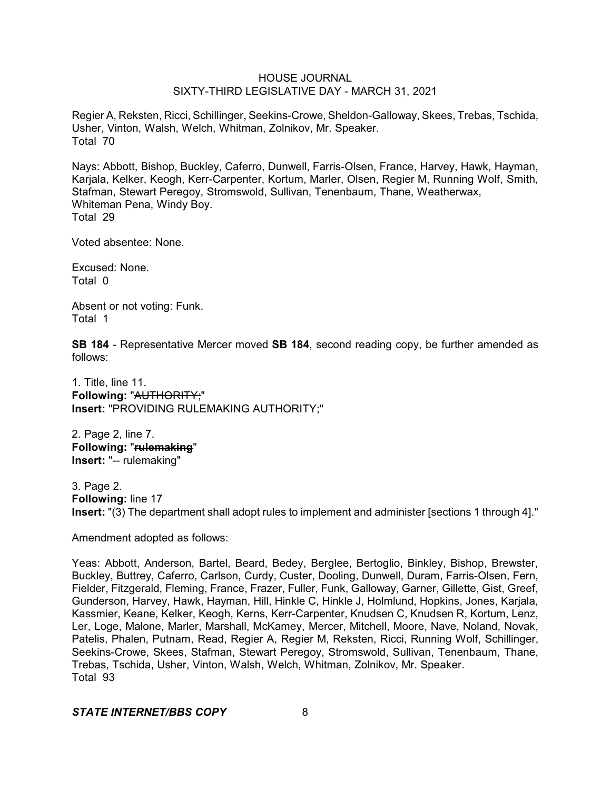Regier A, Reksten, Ricci, Schillinger, Seekins-Crowe, Sheldon-Galloway, Skees, Trebas, Tschida, Usher, Vinton, Walsh, Welch, Whitman, Zolnikov, Mr. Speaker. Total 70

Nays: Abbott, Bishop, Buckley, Caferro, Dunwell, Farris-Olsen, France, Harvey, Hawk, Hayman, Karjala, Kelker, Keogh, Kerr-Carpenter, Kortum, Marler, Olsen, Regier M, Running Wolf, Smith, Stafman, Stewart Peregoy, Stromswold, Sullivan, Tenenbaum, Thane, Weatherwax, Whiteman Pena, Windy Boy. Total 29

Voted absentee: None.

Excused: None. Total 0

Absent or not voting: Funk. Total 1

**SB 184** - Representative Mercer moved **SB 184**, second reading copy, be further amended as follows:

1. Title, line 11. **Following:** "AUTHORITY;" **Insert:** "PROVIDING RULEMAKING AUTHORITY;"

2. Page 2, line 7. **Following:** "**rulemaking**" **Insert:** "-- rulemaking"

3. Page 2. **Following:** line 17 **Insert:** "(3) The department shall adopt rules to implement and administer [sections 1 through 4]."

Amendment adopted as follows:

Yeas: Abbott, Anderson, Bartel, Beard, Bedey, Berglee, Bertoglio, Binkley, Bishop, Brewster, Buckley, Buttrey, Caferro, Carlson, Curdy, Custer, Dooling, Dunwell, Duram, Farris-Olsen, Fern, Fielder, Fitzgerald, Fleming, France, Frazer, Fuller, Funk, Galloway, Garner, Gillette, Gist, Greef, Gunderson, Harvey, Hawk, Hayman, Hill, Hinkle C, Hinkle J, Holmlund, Hopkins, Jones, Karjala, Kassmier, Keane, Kelker, Keogh, Kerns, Kerr-Carpenter, Knudsen C, Knudsen R, Kortum, Lenz, Ler, Loge, Malone, Marler, Marshall, McKamey, Mercer, Mitchell, Moore, Nave, Noland, Novak, Patelis, Phalen, Putnam, Read, Regier A, Regier M, Reksten, Ricci, Running Wolf, Schillinger, Seekins-Crowe, Skees, Stafman, Stewart Peregoy, Stromswold, Sullivan, Tenenbaum, Thane, Trebas, Tschida, Usher, Vinton, Walsh, Welch, Whitman, Zolnikov, Mr. Speaker. Total 93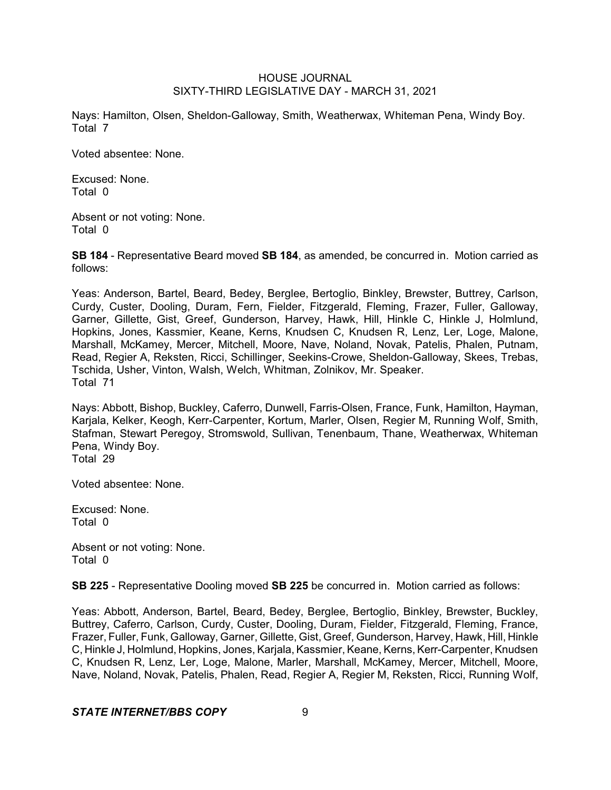Nays: Hamilton, Olsen, Sheldon-Galloway, Smith, Weatherwax, Whiteman Pena, Windy Boy. Total 7

Voted absentee: None.

Excused: None. Total 0

Absent or not voting: None. Total 0

**SB 184** - Representative Beard moved **SB 184**, as amended, be concurred in. Motion carried as follows:

Yeas: Anderson, Bartel, Beard, Bedey, Berglee, Bertoglio, Binkley, Brewster, Buttrey, Carlson, Curdy, Custer, Dooling, Duram, Fern, Fielder, Fitzgerald, Fleming, Frazer, Fuller, Galloway, Garner, Gillette, Gist, Greef, Gunderson, Harvey, Hawk, Hill, Hinkle C, Hinkle J, Holmlund, Hopkins, Jones, Kassmier, Keane, Kerns, Knudsen C, Knudsen R, Lenz, Ler, Loge, Malone, Marshall, McKamey, Mercer, Mitchell, Moore, Nave, Noland, Novak, Patelis, Phalen, Putnam, Read, Regier A, Reksten, Ricci, Schillinger, Seekins-Crowe, Sheldon-Galloway, Skees, Trebas, Tschida, Usher, Vinton, Walsh, Welch, Whitman, Zolnikov, Mr. Speaker. Total 71

Nays: Abbott, Bishop, Buckley, Caferro, Dunwell, Farris-Olsen, France, Funk, Hamilton, Hayman, Karjala, Kelker, Keogh, Kerr-Carpenter, Kortum, Marler, Olsen, Regier M, Running Wolf, Smith, Stafman, Stewart Peregoy, Stromswold, Sullivan, Tenenbaum, Thane, Weatherwax, Whiteman Pena, Windy Boy. Total 29

Voted absentee: None.

Excused: None. Total 0

Absent or not voting: None. Total 0

**SB 225** - Representative Dooling moved **SB 225** be concurred in. Motion carried as follows:

Yeas: Abbott, Anderson, Bartel, Beard, Bedey, Berglee, Bertoglio, Binkley, Brewster, Buckley, Buttrey, Caferro, Carlson, Curdy, Custer, Dooling, Duram, Fielder, Fitzgerald, Fleming, France, Frazer, Fuller, Funk, Galloway, Garner, Gillette, Gist, Greef, Gunderson, Harvey, Hawk, Hill, Hinkle C, Hinkle J, Holmlund, Hopkins, Jones, Karjala,Kassmier, Keane, Kerns, Kerr-Carpenter, Knudsen C, Knudsen R, Lenz, Ler, Loge, Malone, Marler, Marshall, McKamey, Mercer, Mitchell, Moore, Nave, Noland, Novak, Patelis, Phalen, Read, Regier A, Regier M, Reksten, Ricci, Running Wolf,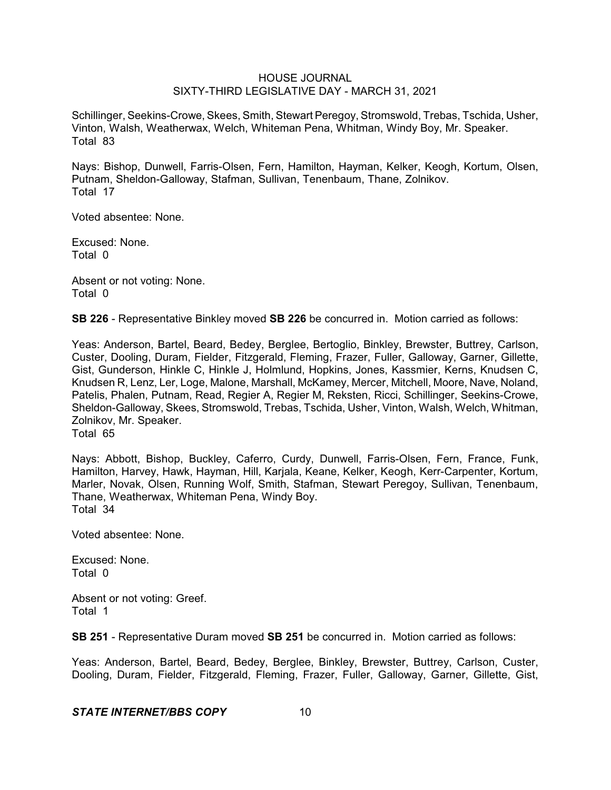Schillinger, Seekins-Crowe, Skees, Smith, Stewart Peregoy, Stromswold, Trebas, Tschida, Usher, Vinton, Walsh, Weatherwax, Welch, Whiteman Pena, Whitman, Windy Boy, Mr. Speaker. Total 83

Nays: Bishop, Dunwell, Farris-Olsen, Fern, Hamilton, Hayman, Kelker, Keogh, Kortum, Olsen, Putnam, Sheldon-Galloway, Stafman, Sullivan, Tenenbaum, Thane, Zolnikov. Total 17

Voted absentee: None.

Excused: None. Total 0

Absent or not voting: None. Total 0

**SB 226** - Representative Binkley moved **SB 226** be concurred in. Motion carried as follows:

Yeas: Anderson, Bartel, Beard, Bedey, Berglee, Bertoglio, Binkley, Brewster, Buttrey, Carlson, Custer, Dooling, Duram, Fielder, Fitzgerald, Fleming, Frazer, Fuller, Galloway, Garner, Gillette, Gist, Gunderson, Hinkle C, Hinkle J, Holmlund, Hopkins, Jones, Kassmier, Kerns, Knudsen C, Knudsen R, Lenz, Ler, Loge, Malone, Marshall, McKamey, Mercer, Mitchell, Moore, Nave, Noland, Patelis, Phalen, Putnam, Read, Regier A, Regier M, Reksten, Ricci, Schillinger, Seekins-Crowe, Sheldon-Galloway, Skees, Stromswold, Trebas, Tschida, Usher, Vinton, Walsh, Welch, Whitman, Zolnikov, Mr. Speaker.

Total 65

Nays: Abbott, Bishop, Buckley, Caferro, Curdy, Dunwell, Farris-Olsen, Fern, France, Funk, Hamilton, Harvey, Hawk, Hayman, Hill, Karjala, Keane, Kelker, Keogh, Kerr-Carpenter, Kortum, Marler, Novak, Olsen, Running Wolf, Smith, Stafman, Stewart Peregoy, Sullivan, Tenenbaum, Thane, Weatherwax, Whiteman Pena, Windy Boy. Total 34

Voted absentee: None.

Excused: None. Total 0

Absent or not voting: Greef. Total 1

**SB 251** - Representative Duram moved **SB 251** be concurred in. Motion carried as follows:

Yeas: Anderson, Bartel, Beard, Bedey, Berglee, Binkley, Brewster, Buttrey, Carlson, Custer, Dooling, Duram, Fielder, Fitzgerald, Fleming, Frazer, Fuller, Galloway, Garner, Gillette, Gist,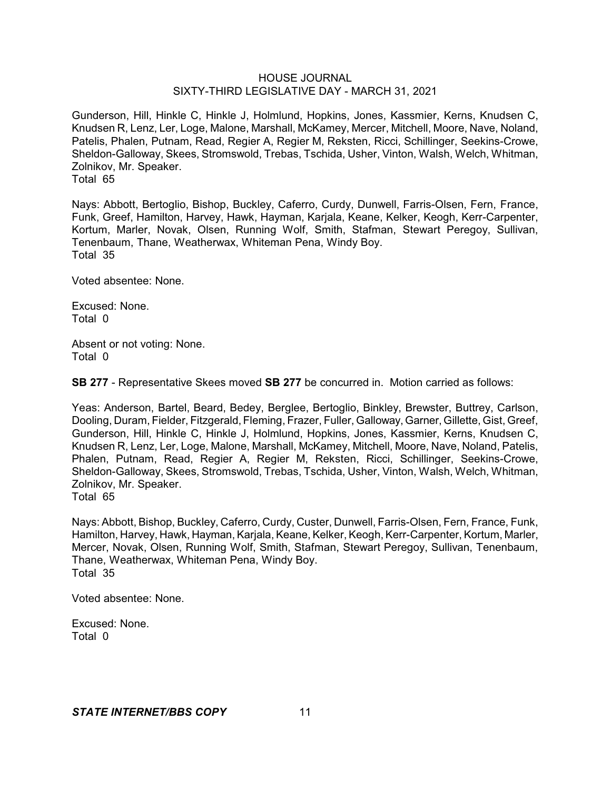Gunderson, Hill, Hinkle C, Hinkle J, Holmlund, Hopkins, Jones, Kassmier, Kerns, Knudsen C, Knudsen R, Lenz, Ler, Loge, Malone, Marshall, McKamey, Mercer, Mitchell, Moore, Nave, Noland, Patelis, Phalen, Putnam, Read, Regier A, Regier M, Reksten, Ricci, Schillinger, Seekins-Crowe, Sheldon-Galloway, Skees, Stromswold, Trebas, Tschida, Usher, Vinton, Walsh, Welch, Whitman, Zolnikov, Mr. Speaker. Total 65

Nays: Abbott, Bertoglio, Bishop, Buckley, Caferro, Curdy, Dunwell, Farris-Olsen, Fern, France, Funk, Greef, Hamilton, Harvey, Hawk, Hayman, Karjala, Keane, Kelker, Keogh, Kerr-Carpenter, Kortum, Marler, Novak, Olsen, Running Wolf, Smith, Stafman, Stewart Peregoy, Sullivan, Tenenbaum, Thane, Weatherwax, Whiteman Pena, Windy Boy. Total 35

Voted absentee: None.

Excused: None. Total 0

Absent or not voting: None. Total 0

**SB 277** - Representative Skees moved **SB 277** be concurred in. Motion carried as follows:

Yeas: Anderson, Bartel, Beard, Bedey, Berglee, Bertoglio, Binkley, Brewster, Buttrey, Carlson, Dooling, Duram, Fielder, Fitzgerald, Fleming, Frazer, Fuller, Galloway, Garner, Gillette, Gist, Greef, Gunderson, Hill, Hinkle C, Hinkle J, Holmlund, Hopkins, Jones, Kassmier, Kerns, Knudsen C, Knudsen R, Lenz, Ler, Loge, Malone, Marshall, McKamey, Mitchell, Moore, Nave, Noland, Patelis, Phalen, Putnam, Read, Regier A, Regier M, Reksten, Ricci, Schillinger, Seekins-Crowe, Sheldon-Galloway, Skees, Stromswold, Trebas, Tschida, Usher, Vinton, Walsh, Welch, Whitman, Zolnikov, Mr. Speaker. Total 65

Nays: Abbott, Bishop, Buckley, Caferro, Curdy, Custer, Dunwell, Farris-Olsen, Fern, France, Funk, Hamilton, Harvey, Hawk, Hayman, Karjala, Keane, Kelker, Keogh, Kerr-Carpenter, Kortum, Marler, Mercer, Novak, Olsen, Running Wolf, Smith, Stafman, Stewart Peregoy, Sullivan, Tenenbaum, Thane, Weatherwax, Whiteman Pena, Windy Boy. Total 35

Voted absentee: None.

Excused: None. Total 0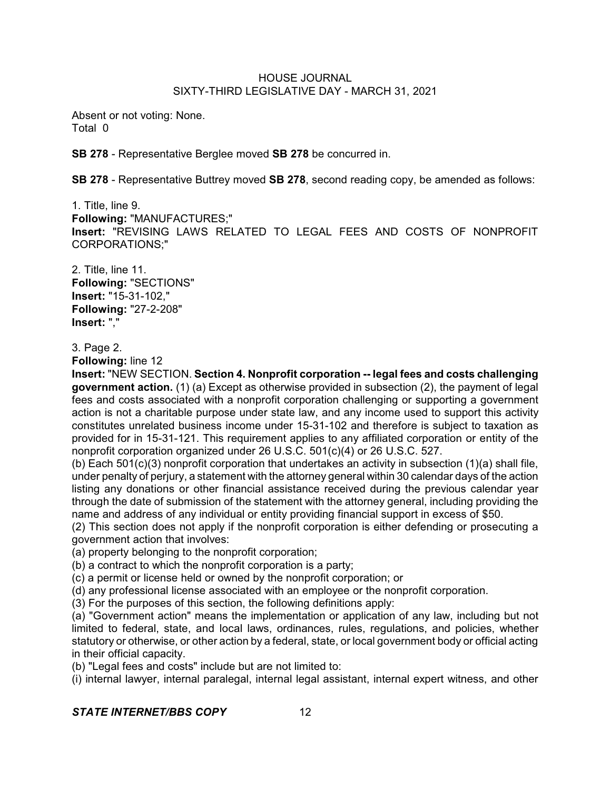Absent or not voting: None. Total 0

**SB 278** - Representative Berglee moved **SB 278** be concurred in.

**SB 278** - Representative Buttrey moved **SB 278**, second reading copy, be amended as follows:

1. Title, line 9. **Following:** "MANUFACTURES;" **Insert:** "REVISING LAWS RELATED TO LEGAL FEES AND COSTS OF NONPROFIT CORPORATIONS;"

2. Title, line 11. **Following:** "SECTIONS" **Insert:** "15-31-102," **Following:** "27-2-208" **Insert:** ","

3. Page 2.

**Following:** line 12

**Insert:** "NEW SECTION. **Section 4. Nonprofit corporation -- legal fees and costs challenging government action.** (1) (a) Except as otherwise provided in subsection (2), the payment of legal fees and costs associated with a nonprofit corporation challenging or supporting a government action is not a charitable purpose under state law, and any income used to support this activity constitutes unrelated business income under 15-31-102 and therefore is subject to taxation as provided for in 15-31-121. This requirement applies to any affiliated corporation or entity of the nonprofit corporation organized under 26 U.S.C. 501(c)(4) or 26 U.S.C. 527.

(b) Each 501(c)(3) nonprofit corporation that undertakes an activity in subsection (1)(a) shall file, under penalty of perjury, a statement with the attorney general within 30 calendar days of the action listing any donations or other financial assistance received during the previous calendar year through the date of submission of the statement with the attorney general, including providing the name and address of any individual or entity providing financial support in excess of \$50.

(2) This section does not apply if the nonprofit corporation is either defending or prosecuting a government action that involves:

(a) property belonging to the nonprofit corporation;

(b) a contract to which the nonprofit corporation is a party;

(c) a permit or license held or owned by the nonprofit corporation; or

(d) any professional license associated with an employee or the nonprofit corporation.

(3) For the purposes of this section, the following definitions apply:

(a) "Government action" means the implementation or application of any law, including but not limited to federal, state, and local laws, ordinances, rules, regulations, and policies, whether statutory or otherwise, or other action by a federal, state, or local government body or official acting in their official capacity.

(b) "Legal fees and costs" include but are not limited to:

(i) internal lawyer, internal paralegal, internal legal assistant, internal expert witness, and other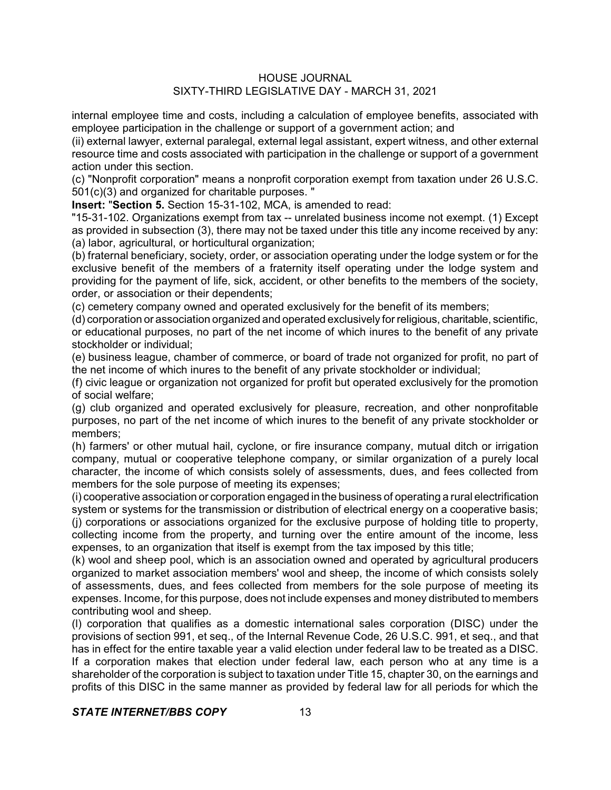internal employee time and costs, including a calculation of employee benefits, associated with employee participation in the challenge or support of a government action; and

(ii) external lawyer, external paralegal, external legal assistant, expert witness, and other external resource time and costs associated with participation in the challenge or support of a government action under this section.

(c) "Nonprofit corporation" means a nonprofit corporation exempt from taxation under 26 U.S.C. 501(c)(3) and organized for charitable purposes. "

**Insert:** "**Section 5.** Section 15-31-102, MCA, is amended to read:

"15-31-102. Organizations exempt from tax -- unrelated business income not exempt. (1) Except as provided in subsection (3), there may not be taxed under this title any income received by any: (a) labor, agricultural, or horticultural organization;

(b) fraternal beneficiary, society, order, or association operating under the lodge system or for the exclusive benefit of the members of a fraternity itself operating under the lodge system and providing for the payment of life, sick, accident, or other benefits to the members of the society, order, or association or their dependents;

(c) cemetery company owned and operated exclusively for the benefit of its members;

(d) corporation or association organized and operated exclusively forreligious, charitable, scientific, or educational purposes, no part of the net income of which inures to the benefit of any private stockholder or individual;

(e) business league, chamber of commerce, or board of trade not organized for profit, no part of the net income of which inures to the benefit of any private stockholder or individual;

(f) civic league or organization not organized for profit but operated exclusively for the promotion of social welfare;

(g) club organized and operated exclusively for pleasure, recreation, and other nonprofitable purposes, no part of the net income of which inures to the benefit of any private stockholder or members;

(h) farmers' or other mutual hail, cyclone, or fire insurance company, mutual ditch or irrigation company, mutual or cooperative telephone company, or similar organization of a purely local character, the income of which consists solely of assessments, dues, and fees collected from members for the sole purpose of meeting its expenses;

(i) cooperative association or corporation engaged in the business of operating a rural electrification system or systems for the transmission or distribution of electrical energy on a cooperative basis; (j) corporations or associations organized for the exclusive purpose of holding title to property, collecting income from the property, and turning over the entire amount of the income, less expenses, to an organization that itself is exempt from the tax imposed by this title;

(k) wool and sheep pool, which is an association owned and operated by agricultural producers organized to market association members' wool and sheep, the income of which consists solely of assessments, dues, and fees collected from members for the sole purpose of meeting its expenses. Income, for this purpose, does not include expenses and money distributed to members contributing wool and sheep.

(l) corporation that qualifies as a domestic international sales corporation (DISC) under the provisions of section 991, et seq., of the Internal Revenue Code, 26 U.S.C. 991, et seq., and that has in effect for the entire taxable year a valid election under federal law to be treated as a DISC. If a corporation makes that election under federal law, each person who at any time is a shareholder of the corporation is subject to taxation under Title 15, chapter 30, on the earnings and profits of this DISC in the same manner as provided by federal law for all periods for which the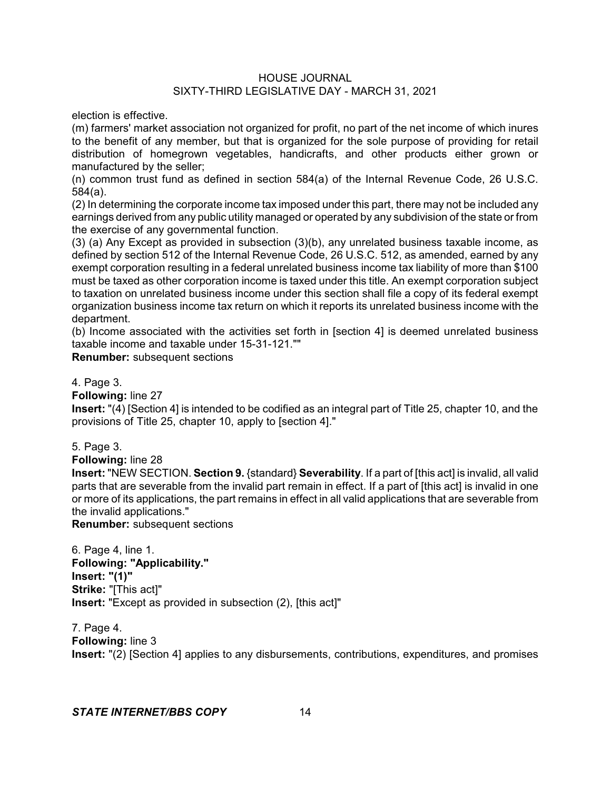election is effective.

(m) farmers' market association not organized for profit, no part of the net income of which inures to the benefit of any member, but that is organized for the sole purpose of providing for retail distribution of homegrown vegetables, handicrafts, and other products either grown or manufactured by the seller;

(n) common trust fund as defined in section 584(a) of the Internal Revenue Code, 26 U.S.C. 584(a).

(2) In determining the corporate income tax imposed under this part, there may not be included any earnings derived from any public utility managed or operated by any subdivision of the state or from the exercise of any governmental function.

(3) (a) Any Except as provided in subsection (3)(b), any unrelated business taxable income, as defined by section 512 of the Internal Revenue Code, 26 U.S.C. 512, as amended, earned by any exempt corporation resulting in a federal unrelated business income tax liability of more than \$100 must be taxed as other corporation income is taxed under this title. An exempt corporation subject to taxation on unrelated business income under this section shall file a copy of its federal exempt organization business income tax return on which it reports its unrelated business income with the department.

(b) Income associated with the activities set forth in [section 4] is deemed unrelated business taxable income and taxable under 15-31-121.""

**Renumber:** subsequent sections

4. Page 3.

**Following:** line 27

**Insert:** "(4) [Section 4] is intended to be codified as an integral part of Title 25, chapter 10, and the provisions of Title 25, chapter 10, apply to [section 4]."

5. Page 3.

**Following:** line 28

**Insert:** "NEW SECTION. **Section 9.** {standard} **Severability**. If a part of [this act] is invalid, all valid parts that are severable from the invalid part remain in effect. If a part of [this act] is invalid in one or more of its applications, the part remains in effect in all valid applications that are severable from the invalid applications."

**Renumber:** subsequent sections

6. Page 4, line 1. **Following: "Applicability." Insert: "(1)" Strike:** "[This act]" **Insert:** "Except as provided in subsection (2), [this act]"

7. Page 4. **Following:** line 3 **Insert:** "(2) [Section 4] applies to any disbursements, contributions, expenditures, and promises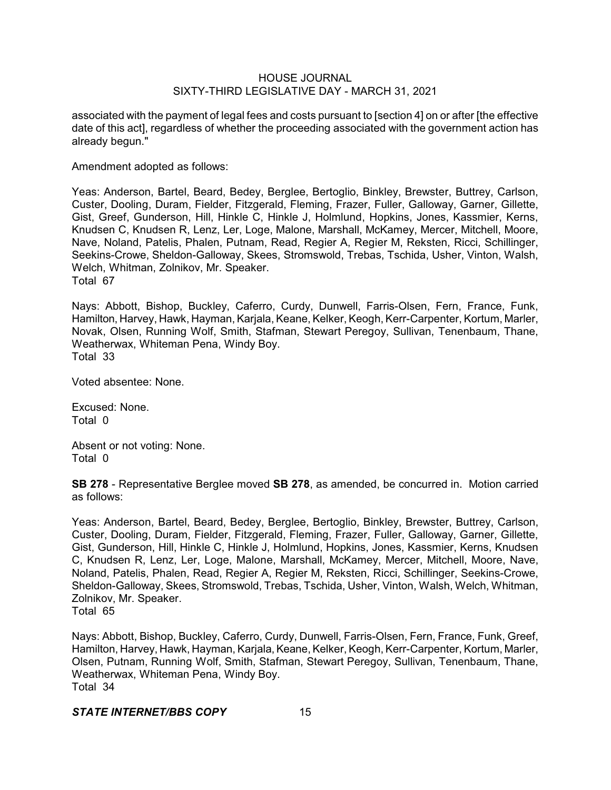associated with the payment of legal fees and costs pursuant to [section 4] on or after [the effective date of this act], regardless of whether the proceeding associated with the government action has already begun."

Amendment adopted as follows:

Yeas: Anderson, Bartel, Beard, Bedey, Berglee, Bertoglio, Binkley, Brewster, Buttrey, Carlson, Custer, Dooling, Duram, Fielder, Fitzgerald, Fleming, Frazer, Fuller, Galloway, Garner, Gillette, Gist, Greef, Gunderson, Hill, Hinkle C, Hinkle J, Holmlund, Hopkins, Jones, Kassmier, Kerns, Knudsen C, Knudsen R, Lenz, Ler, Loge, Malone, Marshall, McKamey, Mercer, Mitchell, Moore, Nave, Noland, Patelis, Phalen, Putnam, Read, Regier A, Regier M, Reksten, Ricci, Schillinger, Seekins-Crowe, Sheldon-Galloway, Skees, Stromswold, Trebas, Tschida, Usher, Vinton, Walsh, Welch, Whitman, Zolnikov, Mr. Speaker. Total 67

Nays: Abbott, Bishop, Buckley, Caferro, Curdy, Dunwell, Farris-Olsen, Fern, France, Funk, Hamilton, Harvey, Hawk, Hayman, Karjala, Keane, Kelker, Keogh, Kerr-Carpenter, Kortum, Marler, Novak, Olsen, Running Wolf, Smith, Stafman, Stewart Peregoy, Sullivan, Tenenbaum, Thane, Weatherwax, Whiteman Pena, Windy Boy. Total 33

Voted absentee: None.

Excused: None. Total 0

Absent or not voting: None. Total 0

**SB 278** - Representative Berglee moved **SB 278**, as amended, be concurred in. Motion carried as follows:

Yeas: Anderson, Bartel, Beard, Bedey, Berglee, Bertoglio, Binkley, Brewster, Buttrey, Carlson, Custer, Dooling, Duram, Fielder, Fitzgerald, Fleming, Frazer, Fuller, Galloway, Garner, Gillette, Gist, Gunderson, Hill, Hinkle C, Hinkle J, Holmlund, Hopkins, Jones, Kassmier, Kerns, Knudsen C, Knudsen R, Lenz, Ler, Loge, Malone, Marshall, McKamey, Mercer, Mitchell, Moore, Nave, Noland, Patelis, Phalen, Read, Regier A, Regier M, Reksten, Ricci, Schillinger, Seekins-Crowe, Sheldon-Galloway, Skees, Stromswold, Trebas, Tschida, Usher, Vinton, Walsh, Welch, Whitman, Zolnikov, Mr. Speaker.

Total 65

Nays: Abbott, Bishop, Buckley, Caferro, Curdy, Dunwell, Farris-Olsen, Fern, France, Funk, Greef, Hamilton, Harvey, Hawk, Hayman, Karjala, Keane, Kelker, Keogh, Kerr-Carpenter, Kortum, Marler, Olsen, Putnam, Running Wolf, Smith, Stafman, Stewart Peregoy, Sullivan, Tenenbaum, Thane, Weatherwax, Whiteman Pena, Windy Boy. Total 34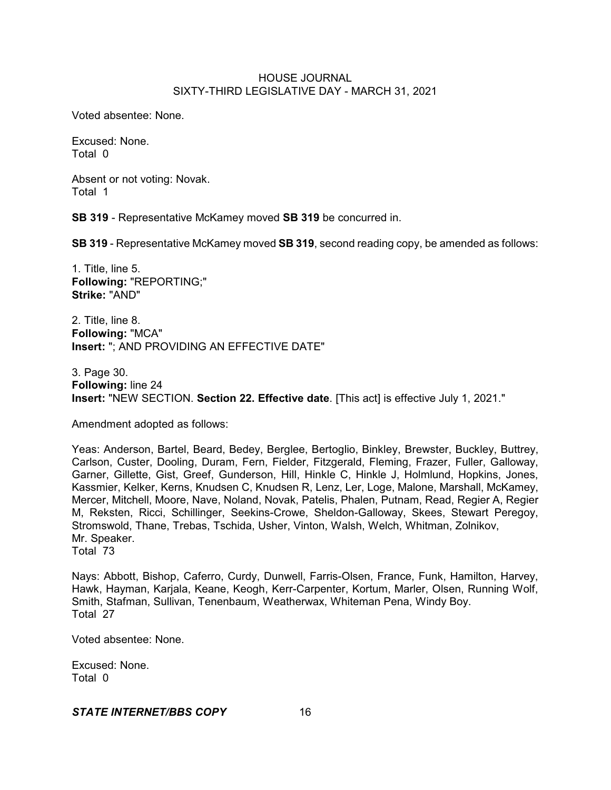Voted absentee: None.

Excused: None. Total 0

Absent or not voting: Novak. Total 1

**SB 319** - Representative McKamey moved **SB 319** be concurred in.

**SB 319** - Representative McKamey moved **SB 319**, second reading copy, be amended as follows:

1. Title, line 5. **Following:** "REPORTING;" **Strike:** "AND"

2. Title, line 8. **Following:** "MCA" **Insert:** "; AND PROVIDING AN EFFECTIVE DATE"

3. Page 30. **Following:** line 24 **Insert:** "NEW SECTION. **Section 22. Effective date**. [This act] is effective July 1, 2021."

Amendment adopted as follows:

Yeas: Anderson, Bartel, Beard, Bedey, Berglee, Bertoglio, Binkley, Brewster, Buckley, Buttrey, Carlson, Custer, Dooling, Duram, Fern, Fielder, Fitzgerald, Fleming, Frazer, Fuller, Galloway, Garner, Gillette, Gist, Greef, Gunderson, Hill, Hinkle C, Hinkle J, Holmlund, Hopkins, Jones, Kassmier, Kelker, Kerns, Knudsen C, Knudsen R, Lenz, Ler, Loge, Malone, Marshall, McKamey, Mercer, Mitchell, Moore, Nave, Noland, Novak, Patelis, Phalen, Putnam, Read, Regier A, Regier M, Reksten, Ricci, Schillinger, Seekins-Crowe, Sheldon-Galloway, Skees, Stewart Peregoy, Stromswold, Thane, Trebas, Tschida, Usher, Vinton, Walsh, Welch, Whitman, Zolnikov, Mr. Speaker. Total 73

Nays: Abbott, Bishop, Caferro, Curdy, Dunwell, Farris-Olsen, France, Funk, Hamilton, Harvey, Hawk, Hayman, Karjala, Keane, Keogh, Kerr-Carpenter, Kortum, Marler, Olsen, Running Wolf, Smith, Stafman, Sullivan, Tenenbaum, Weatherwax, Whiteman Pena, Windy Boy. Total 27

Voted absentee: None.

Excused: None. Total 0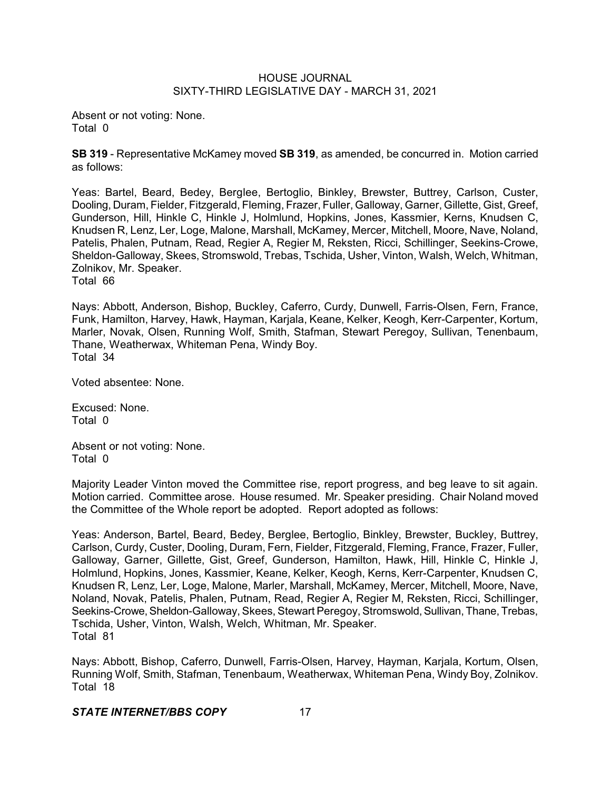Absent or not voting: None. Total 0

**SB 319** - Representative McKamey moved **SB 319**, as amended, be concurred in. Motion carried as follows:

Yeas: Bartel, Beard, Bedey, Berglee, Bertoglio, Binkley, Brewster, Buttrey, Carlson, Custer, Dooling, Duram, Fielder, Fitzgerald, Fleming, Frazer, Fuller, Galloway, Garner, Gillette, Gist, Greef, Gunderson, Hill, Hinkle C, Hinkle J, Holmlund, Hopkins, Jones, Kassmier, Kerns, Knudsen C, Knudsen R, Lenz, Ler, Loge, Malone, Marshall, McKamey, Mercer, Mitchell, Moore, Nave, Noland, Patelis, Phalen, Putnam, Read, Regier A, Regier M, Reksten, Ricci, Schillinger, Seekins-Crowe, Sheldon-Galloway, Skees, Stromswold, Trebas, Tschida, Usher, Vinton, Walsh, Welch, Whitman, Zolnikov, Mr. Speaker. Total 66

Nays: Abbott, Anderson, Bishop, Buckley, Caferro, Curdy, Dunwell, Farris-Olsen, Fern, France, Funk, Hamilton, Harvey, Hawk, Hayman, Karjala, Keane, Kelker, Keogh, Kerr-Carpenter, Kortum, Marler, Novak, Olsen, Running Wolf, Smith, Stafman, Stewart Peregoy, Sullivan, Tenenbaum, Thane, Weatherwax, Whiteman Pena, Windy Boy. Total 34

Voted absentee: None.

Excused: None. Total 0

Absent or not voting: None. Total 0

Majority Leader Vinton moved the Committee rise, report progress, and beg leave to sit again. Motion carried. Committee arose. House resumed. Mr. Speaker presiding. Chair Noland moved the Committee of the Whole report be adopted. Report adopted as follows:

Yeas: Anderson, Bartel, Beard, Bedey, Berglee, Bertoglio, Binkley, Brewster, Buckley, Buttrey, Carlson, Curdy, Custer, Dooling, Duram, Fern, Fielder, Fitzgerald, Fleming, France, Frazer, Fuller, Galloway, Garner, Gillette, Gist, Greef, Gunderson, Hamilton, Hawk, Hill, Hinkle C, Hinkle J, Holmlund, Hopkins, Jones, Kassmier, Keane, Kelker, Keogh, Kerns, Kerr-Carpenter, Knudsen C, Knudsen R, Lenz, Ler, Loge, Malone, Marler, Marshall, McKamey, Mercer, Mitchell, Moore, Nave, Noland, Novak, Patelis, Phalen, Putnam, Read, Regier A, Regier M, Reksten, Ricci, Schillinger, Seekins-Crowe, Sheldon-Galloway, Skees, Stewart Peregoy, Stromswold, Sullivan, Thane, Trebas, Tschida, Usher, Vinton, Walsh, Welch, Whitman, Mr. Speaker. Total 81

Nays: Abbott, Bishop, Caferro, Dunwell, Farris-Olsen, Harvey, Hayman, Karjala, Kortum, Olsen, Running Wolf, Smith, Stafman, Tenenbaum, Weatherwax, Whiteman Pena, Windy Boy, Zolnikov. Total 18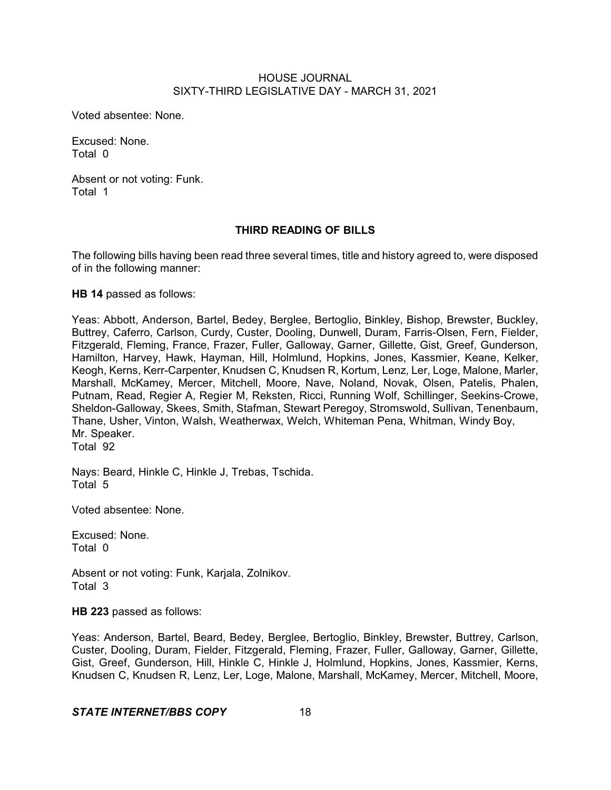Voted absentee: None.

Excused: None. Total 0

Absent or not voting: Funk. Total 1

## **THIRD READING OF BILLS**

The following bills having been read three several times, title and history agreed to, were disposed of in the following manner:

**HB 14** passed as follows:

Yeas: Abbott, Anderson, Bartel, Bedey, Berglee, Bertoglio, Binkley, Bishop, Brewster, Buckley, Buttrey, Caferro, Carlson, Curdy, Custer, Dooling, Dunwell, Duram, Farris-Olsen, Fern, Fielder, Fitzgerald, Fleming, France, Frazer, Fuller, Galloway, Garner, Gillette, Gist, Greef, Gunderson, Hamilton, Harvey, Hawk, Hayman, Hill, Holmlund, Hopkins, Jones, Kassmier, Keane, Kelker, Keogh, Kerns, Kerr-Carpenter, Knudsen C, Knudsen R, Kortum, Lenz, Ler, Loge, Malone, Marler, Marshall, McKamey, Mercer, Mitchell, Moore, Nave, Noland, Novak, Olsen, Patelis, Phalen, Putnam, Read, Regier A, Regier M, Reksten, Ricci, Running Wolf, Schillinger, Seekins-Crowe, Sheldon-Galloway, Skees, Smith, Stafman, Stewart Peregoy, Stromswold, Sullivan, Tenenbaum, Thane, Usher, Vinton, Walsh, Weatherwax, Welch, Whiteman Pena, Whitman, Windy Boy, Mr. Speaker. Total 92

Nays: Beard, Hinkle C, Hinkle J, Trebas, Tschida. Total 5

Voted absentee: None.

Excused: None. Total 0

Absent or not voting: Funk, Karjala, Zolnikov. Total 3

**HB 223** passed as follows:

Yeas: Anderson, Bartel, Beard, Bedey, Berglee, Bertoglio, Binkley, Brewster, Buttrey, Carlson, Custer, Dooling, Duram, Fielder, Fitzgerald, Fleming, Frazer, Fuller, Galloway, Garner, Gillette, Gist, Greef, Gunderson, Hill, Hinkle C, Hinkle J, Holmlund, Hopkins, Jones, Kassmier, Kerns, Knudsen C, Knudsen R, Lenz, Ler, Loge, Malone, Marshall, McKamey, Mercer, Mitchell, Moore,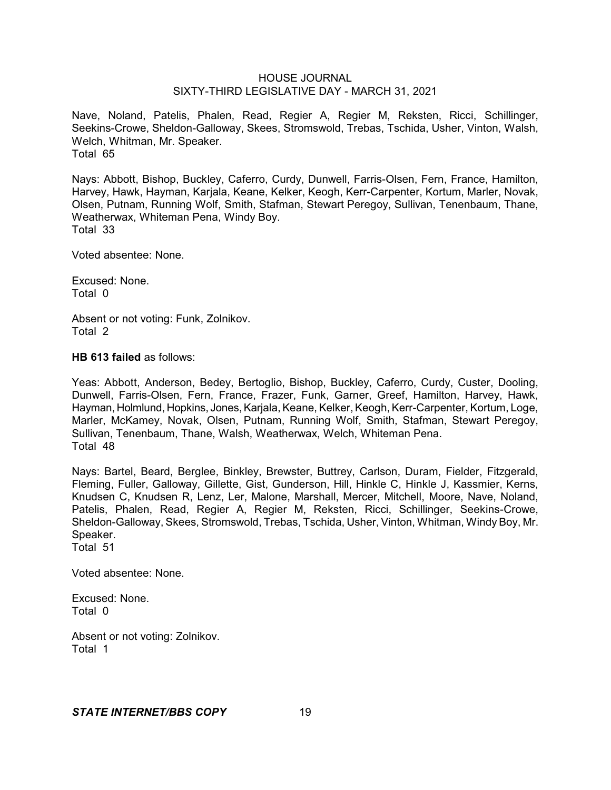Nave, Noland, Patelis, Phalen, Read, Regier A, Regier M, Reksten, Ricci, Schillinger, Seekins-Crowe, Sheldon-Galloway, Skees, Stromswold, Trebas, Tschida, Usher, Vinton, Walsh, Welch, Whitman, Mr. Speaker. Total 65

Nays: Abbott, Bishop, Buckley, Caferro, Curdy, Dunwell, Farris-Olsen, Fern, France, Hamilton, Harvey, Hawk, Hayman, Karjala, Keane, Kelker, Keogh, Kerr-Carpenter, Kortum, Marler, Novak, Olsen, Putnam, Running Wolf, Smith, Stafman, Stewart Peregoy, Sullivan, Tenenbaum, Thane, Weatherwax, Whiteman Pena, Windy Boy. Total 33

Voted absentee: None.

Excused: None. Total 0

Absent or not voting: Funk, Zolnikov. Total 2

**HB 613 failed** as follows:

Yeas: Abbott, Anderson, Bedey, Bertoglio, Bishop, Buckley, Caferro, Curdy, Custer, Dooling, Dunwell, Farris-Olsen, Fern, France, Frazer, Funk, Garner, Greef, Hamilton, Harvey, Hawk, Hayman, Holmlund, Hopkins, Jones, Karjala, Keane, Kelker, Keogh, Kerr-Carpenter, Kortum, Loge, Marler, McKamey, Novak, Olsen, Putnam, Running Wolf, Smith, Stafman, Stewart Peregoy, Sullivan, Tenenbaum, Thane, Walsh, Weatherwax, Welch, Whiteman Pena. Total 48

Nays: Bartel, Beard, Berglee, Binkley, Brewster, Buttrey, Carlson, Duram, Fielder, Fitzgerald, Fleming, Fuller, Galloway, Gillette, Gist, Gunderson, Hill, Hinkle C, Hinkle J, Kassmier, Kerns, Knudsen C, Knudsen R, Lenz, Ler, Malone, Marshall, Mercer, Mitchell, Moore, Nave, Noland, Patelis, Phalen, Read, Regier A, Regier M, Reksten, Ricci, Schillinger, Seekins-Crowe, Sheldon-Galloway, Skees, Stromswold, Trebas, Tschida, Usher, Vinton, Whitman, Windy Boy, Mr. Speaker.

Total 51

Voted absentee: None.

Excused: None. Total 0

Absent or not voting: Zolnikov. Total 1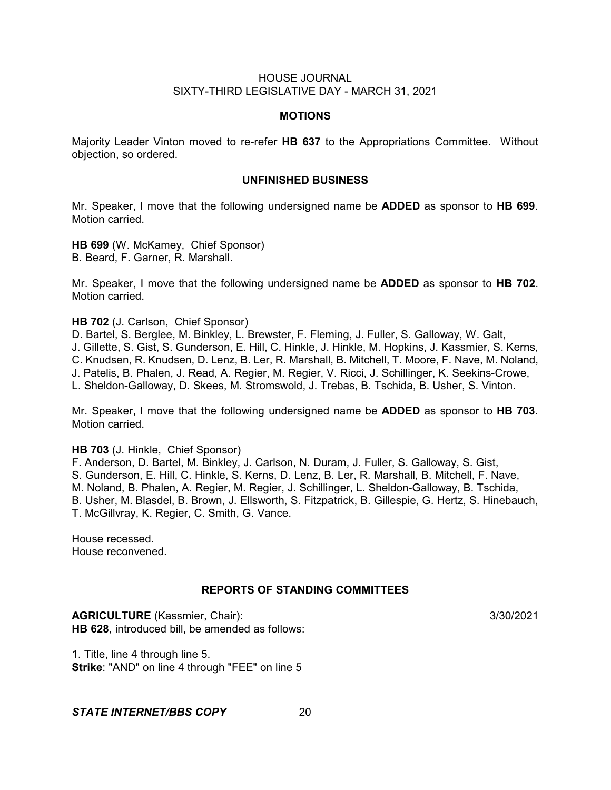#### **MOTIONS**

Majority Leader Vinton moved to re-refer **HB 637** to the Appropriations Committee. Without objection, so ordered.

#### **UNFINISHED BUSINESS**

Mr. Speaker, I move that the following undersigned name be **ADDED** as sponsor to **HB 699**. Motion carried.

**HB 699** (W. McKamey, Chief Sponsor) B. Beard, F. Garner, R. Marshall.

Mr. Speaker, I move that the following undersigned name be **ADDED** as sponsor to **HB 702**. Motion carried.

#### **HB 702** (J. Carlson, Chief Sponsor)

D. Bartel, S. Berglee, M. Binkley, L. Brewster, F. Fleming, J. Fuller, S. Galloway, W. Galt, J. Gillette, S. Gist, S. Gunderson, E. Hill, C. Hinkle, J. Hinkle, M. Hopkins, J. Kassmier, S. Kerns, C. Knudsen, R. Knudsen, D. Lenz, B. Ler, R. Marshall, B. Mitchell, T. Moore, F. Nave, M. Noland, J. Patelis, B. Phalen, J. Read, A. Regier, M. Regier, V. Ricci, J. Schillinger, K. Seekins-Crowe, L. Sheldon-Galloway, D. Skees, M. Stromswold, J. Trebas, B. Tschida, B. Usher, S. Vinton.

Mr. Speaker, I move that the following undersigned name be **ADDED** as sponsor to **HB 703**. Motion carried.

#### **HB 703** (J. Hinkle, Chief Sponsor)

F. Anderson, D. Bartel, M. Binkley, J. Carlson, N. Duram, J. Fuller, S. Galloway, S. Gist, S. Gunderson, E. Hill, C. Hinkle, S. Kerns, D. Lenz, B. Ler, R. Marshall, B. Mitchell, F. Nave, M. Noland, B. Phalen, A. Regier, M. Regier, J. Schillinger, L. Sheldon-Galloway, B. Tschida, B. Usher, M. Blasdel, B. Brown, J. Ellsworth, S. Fitzpatrick, B. Gillespie, G. Hertz, S. Hinebauch, T. McGillvray, K. Regier, C. Smith, G. Vance.

House recessed. House reconvened.

## **REPORTS OF STANDING COMMITTEES**

**AGRICULTURE** (Kassmier, Chair): 3/30/2021 **HB 628**, introduced bill, be amended as follows:

1. Title, line 4 through line 5. **Strike**: "AND" on line 4 through "FEE" on line 5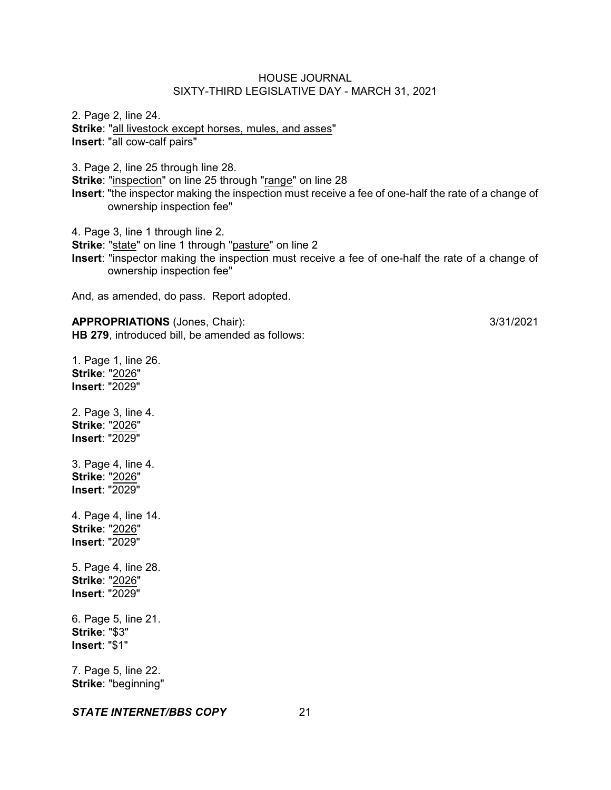2. Page 2, line 24. **Strike**: "all livestock except horses, mules, and asses" **Insert**: "all cow-calf pairs"

3. Page 2, line 25 through line 28. **Strike**: "inspection" on line 25 through "range" on line 28 **Insert**: "the inspector making the inspection must receive a fee of one-half the rate of a change of ownership inspection fee"

4. Page 3, line 1 through line 2. **Strike**: "state" on line 1 through "pasture" on line 2 **Insert**: "inspector making the inspection must receive a fee of one-half the rate of a change of ownership inspection fee"

And, as amended, do pass. Report adopted.

**APPROPRIATIONS** (Jones, Chair): 3/31/2021 **HB 279**, introduced bill, be amended as follows:

1. Page 1, line 26. **Strike**: "2026" **Insert**: "2029" 2. Page 3, line 4. **Strike**: "2026" **Insert**: "2029" 3. Page 4, line 4. **Strike**: "2026" **Insert**: "2029"

4. Page 4, line 14. **Strike**: "2026" **Insert**: "2029"

5. Page 4, line 28. **Strike**: "2026" **Insert**: "2029"

6. Page 5, line 21. **Strike**: "\$3" **Insert**: "\$1"

7. Page 5, line 22. **Strike**: "beginning"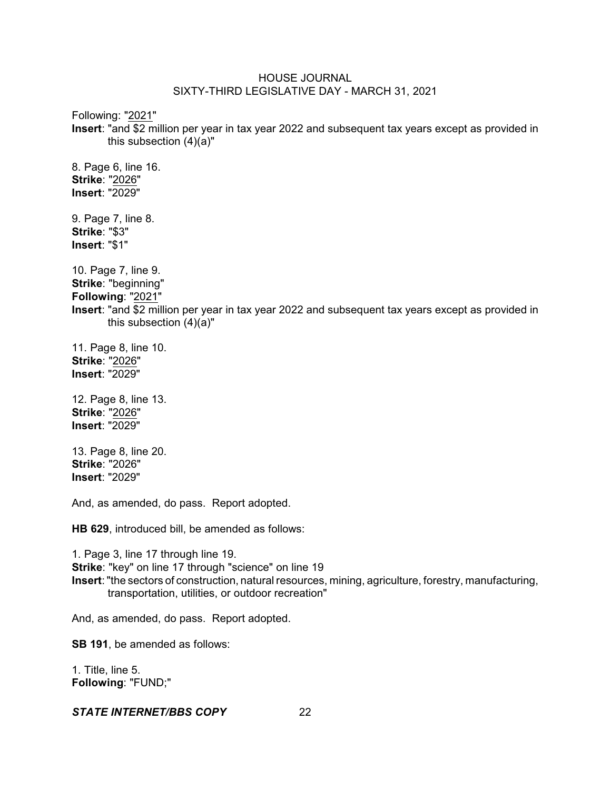Following: "2021"

**Insert**: "and \$2 million per year in tax year 2022 and subsequent tax years except as provided in this subsection (4)(a)"

8. Page 6, line 16. **Strike**: "2026" **Insert**: "2029"

9. Page 7, line 8. **Strike**: "\$3" **Insert**: "\$1"

10. Page 7, line 9.

**Strike**: "beginning"

**Following**: "2021"

**Insert**: "and \$2 million per year in tax year 2022 and subsequent tax years except as provided in this subsection (4)(a)"

11. Page 8, line 10. **Strike**: "2026" **Insert**: "2029"

12. Page 8, line 13. **Strike**: "2026" **Insert**: "2029"

13. Page 8, line 20. **Strike**: "2026" **Insert**: "2029"

And, as amended, do pass. Report adopted.

**HB 629**, introduced bill, be amended as follows:

1. Page 3, line 17 through line 19. **Strike**: "key" on line 17 through "science" on line 19 **Insert**: "the sectors of construction, natural resources, mining, agriculture, forestry, manufacturing, transportation, utilities, or outdoor recreation"

And, as amended, do pass. Report adopted.

**SB 191**, be amended as follows:

1. Title, line 5. **Following**: "FUND;"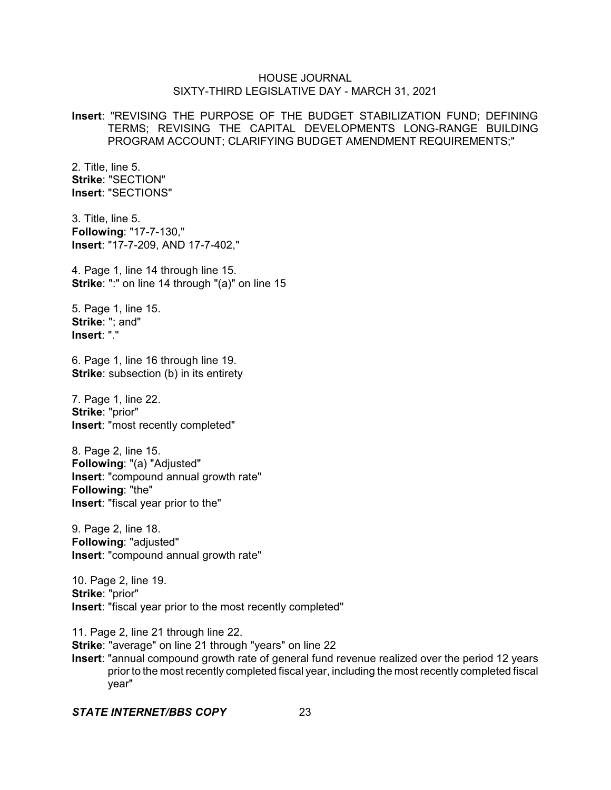**Insert**: "REVISING THE PURPOSE OF THE BUDGET STABILIZATION FUND; DEFINING TERMS; REVISING THE CAPITAL DEVELOPMENTS LONG-RANGE BUILDING PROGRAM ACCOUNT; CLARIFYING BUDGET AMENDMENT REQUIREMENTS;"

2. Title, line 5. **Strike**: "SECTION" **Insert**: "SECTIONS"

3. Title, line 5. **Following**: "17-7-130," **Insert**: "17-7-209, AND 17-7-402,"

4. Page 1, line 14 through line 15. **Strike**: ":" on line 14 through "(a)" on line 15

5. Page 1, line 15. **Strike**: "; and" **Insert**: "."

6. Page 1, line 16 through line 19. **Strike:** subsection (b) in its entirety

7. Page 1, line 22. **Strike**: "prior" **Insert**: "most recently completed"

8. Page 2, line 15. **Following**: "(a) "Adjusted" **Insert**: "compound annual growth rate" **Following**: "the" **Insert**: "fiscal year prior to the"

9. Page 2, line 18. **Following**: "adjusted" **Insert**: "compound annual growth rate"

10. Page 2, line 19. **Strike**: "prior" **Insert**: "fiscal year prior to the most recently completed"

11. Page 2, line 21 through line 22.

**Strike**: "average" on line 21 through "years" on line 22

**Insert**: "annual compound growth rate of general fund revenue realized over the period 12 years prior to the most recently completed fiscal year, including the most recently completed fiscal year"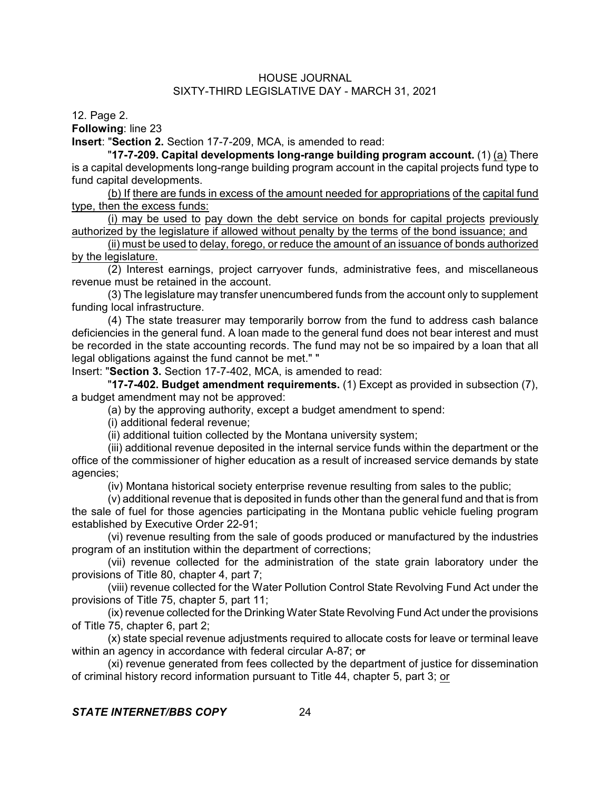12. Page 2.

**Following**: line 23

**Insert**: "**Section 2.** Section 17-7-209, MCA, is amended to read:

"**17-7-209. Capital developments long-range building program account.** (1) (a) There is a capital developments long-range building program account in the capital projects fund type to fund capital developments.

(b) If there are funds in excess of the amount needed for appropriations of the capital fund type, then the excess funds:

(i) may be used to pay down the debt service on bonds for capital projects previously authorized by the legislature if allowed without penalty by the terms of the bond issuance; and

(ii) must be used to delay, forego, or reduce the amount of an issuance of bonds authorized by the legislature.

(2) Interest earnings, project carryover funds, administrative fees, and miscellaneous revenue must be retained in the account.

(3) The legislature may transfer unencumbered funds from the account only to supplement funding local infrastructure.

(4) The state treasurer may temporarily borrow from the fund to address cash balance deficiencies in the general fund. A loan made to the general fund does not bear interest and must be recorded in the state accounting records. The fund may not be so impaired by a loan that all legal obligations against the fund cannot be met." "

Insert: "**Section 3.** Section 17-7-402, MCA, is amended to read:

"**17-7-402. Budget amendment requirements.** (1) Except as provided in subsection (7), a budget amendment may not be approved:

(a) by the approving authority, except a budget amendment to spend:

(i) additional federal revenue;

(ii) additional tuition collected by the Montana university system;

(iii) additional revenue deposited in the internal service funds within the department or the office of the commissioner of higher education as a result of increased service demands by state agencies;

(iv) Montana historical society enterprise revenue resulting from sales to the public;

(v) additional revenue that is deposited in funds other than the general fund and that is from the sale of fuel for those agencies participating in the Montana public vehicle fueling program established by Executive Order 22-91;

(vi) revenue resulting from the sale of goods produced or manufactured by the industries program of an institution within the department of corrections;

(vii) revenue collected for the administration of the state grain laboratory under the provisions of Title 80, chapter 4, part 7;

(viii) revenue collected for the Water Pollution Control State Revolving Fund Act under the provisions of Title 75, chapter 5, part 11;

(ix) revenue collected for the Drinking Water State Revolving Fund Act under the provisions of Title 75, chapter 6, part 2;

(x) state special revenue adjustments required to allocate costs for leave or terminal leave within an agency in accordance with federal circular A-87; or

(xi) revenue generated from fees collected by the department of justice for dissemination of criminal history record information pursuant to Title 44, chapter 5, part 3; or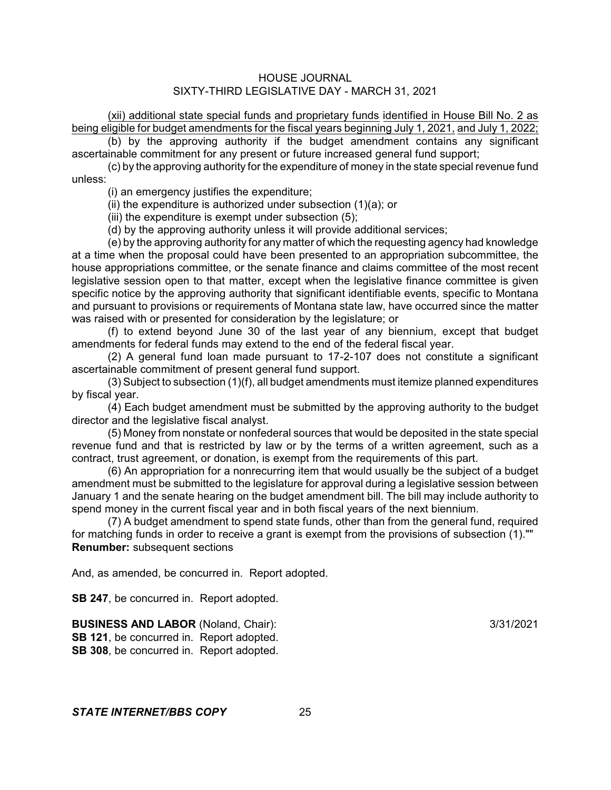(xii) additional state special funds and proprietary funds identified in House Bill No. 2 as being eligible for budget amendments for the fiscal years beginning July 1, 2021, and July 1, 2022;

(b) by the approving authority if the budget amendment contains any significant ascertainable commitment for any present or future increased general fund support;

(c) by the approving authority for the expenditure of money in the state special revenue fund unless:

(i) an emergency justifies the expenditure;

(ii) the expenditure is authorized under subsection (1)(a); or

(iii) the expenditure is exempt under subsection (5);

(d) by the approving authority unless it will provide additional services;

(e) by the approving authority for any matter of which the requesting agency had knowledge at a time when the proposal could have been presented to an appropriation subcommittee, the house appropriations committee, or the senate finance and claims committee of the most recent legislative session open to that matter, except when the legislative finance committee is given specific notice by the approving authority that significant identifiable events, specific to Montana and pursuant to provisions or requirements of Montana state law, have occurred since the matter was raised with or presented for consideration by the legislature; or

(f) to extend beyond June 30 of the last year of any biennium, except that budget amendments for federal funds may extend to the end of the federal fiscal year.

(2) A general fund loan made pursuant to 17-2-107 does not constitute a significant ascertainable commitment of present general fund support.

(3) Subject to subsection (1)(f), all budget amendments must itemize planned expenditures by fiscal year.

(4) Each budget amendment must be submitted by the approving authority to the budget director and the legislative fiscal analyst.

(5) Money from nonstate or nonfederal sources that would be deposited in the state special revenue fund and that is restricted by law or by the terms of a written agreement, such as a contract, trust agreement, or donation, is exempt from the requirements of this part.

(6) An appropriation for a nonrecurring item that would usually be the subject of a budget amendment must be submitted to the legislature for approval during a legislative session between January 1 and the senate hearing on the budget amendment bill. The bill may include authority to spend money in the current fiscal year and in both fiscal years of the next biennium.

(7) A budget amendment to spend state funds, other than from the general fund, required for matching funds in order to receive a grant is exempt from the provisions of subsection (1)."" **Renumber:** subsequent sections

And, as amended, be concurred in. Report adopted.

**SB 247**, be concurred in. Report adopted.

**BUSINESS AND LABOR** (Noland, Chair): 3/31/2021 **SB 121**, be concurred in. Report adopted. **SB 308**, be concurred in. Report adopted.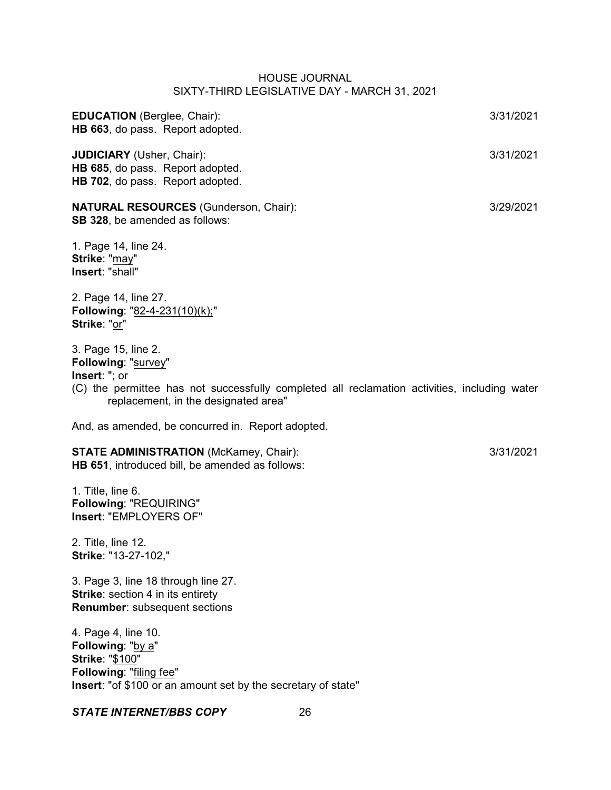| <b>EDUCATION</b> (Berglee, Chair):<br>HB 663, do pass. Report adopted.                                                                                                                              | 3/31/2021 |
|-----------------------------------------------------------------------------------------------------------------------------------------------------------------------------------------------------|-----------|
| <b>JUDICIARY</b> (Usher, Chair):<br>HB 685, do pass. Report adopted.<br>HB 702, do pass. Report adopted.                                                                                            | 3/31/2021 |
| <b>NATURAL RESOURCES (Gunderson, Chair):</b><br><b>SB 328, be amended as follows:</b>                                                                                                               | 3/29/2021 |
| 1. Page 14, line 24.<br>Strike: "may"<br>Insert: "shall"                                                                                                                                            |           |
| 2. Page 14, line 27.<br>Following: "82-4-231(10)(k);"<br>Strike: "or"                                                                                                                               |           |
| 3. Page 15, line 2.<br>Following: "survey"<br>Insert: "; or<br>(C) the permittee has not successfully completed all reclamation activities, including water<br>replacement, in the designated area" |           |
| And, as amended, be concurred in. Report adopted.                                                                                                                                                   |           |
| <b>STATE ADMINISTRATION (McKamey, Chair):</b><br>HB 651, introduced bill, be amended as follows:                                                                                                    | 3/31/2021 |
| 1. Title, line 6.<br>Following: "REQUIRING"<br>Insert: "EMPLOYERS OF"                                                                                                                               |           |
| 2. Title, line 12.<br>Strike: "13-27-102,"                                                                                                                                                          |           |
| 3. Page 3, line 18 through line 27.<br>Strike: section 4 in its entirety<br><b>Renumber:</b> subsequent sections                                                                                    |           |
| 4. Page 4, line 10.<br>Following: "by a"<br><b>Strike: "\$100"</b><br>Following: "filing fee"<br>Insert: "of \$100 or an amount set by the secretary of state"                                      |           |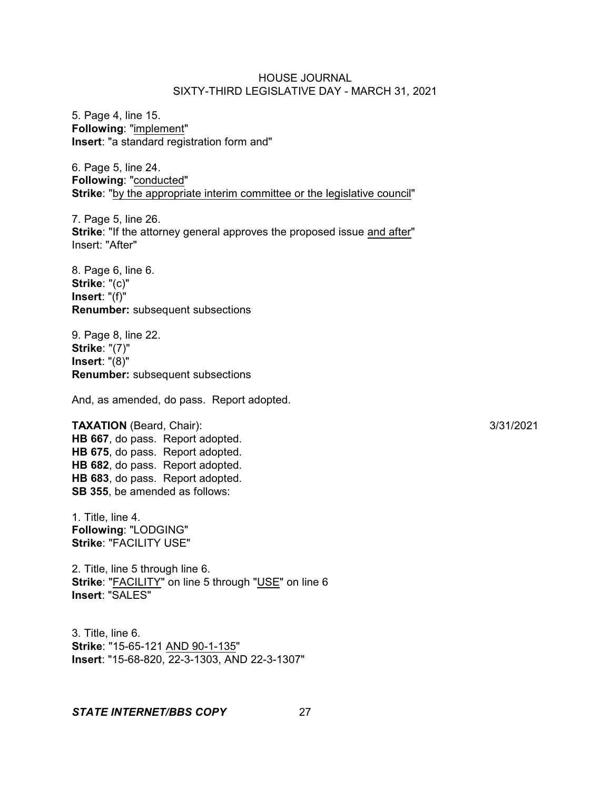5. Page 4, line 15. **Following**: "implement" **Insert**: "a standard registration form and"

6. Page 5, line 24. **Following**: "conducted" **Strike**: "by the appropriate interim committee or the legislative council"

7. Page 5, line 26. **Strike**: "If the attorney general approves the proposed issue and after" Insert: "After"

8. Page 6, line 6. **Strike**: "(c)" **Insert**: "(f)" **Renumber:** subsequent subsections

9. Page 8, line 22. **Strike**: "(7)" **Insert**: "(8)" **Renumber:** subsequent subsections

And, as amended, do pass. Report adopted.

**TAXATION** (Beard, Chair): 3/31/2021 **HB 667**, do pass. Report adopted. **HB 675**, do pass. Report adopted. **HB 682**, do pass. Report adopted. **HB 683**, do pass. Report adopted. **SB 355**, be amended as follows:

1. Title, line 4. **Following**: "LODGING" **Strike**: "FACILITY USE"

2. Title, line 5 through line 6. **Strike**: "FACILITY" on line 5 through "USE" on line 6 **Insert**: "SALES"

3. Title, line 6. **Strike**: "15-65-121 AND 90-1-135" **Insert**: "15-68-820, 22-3-1303, AND 22-3-1307"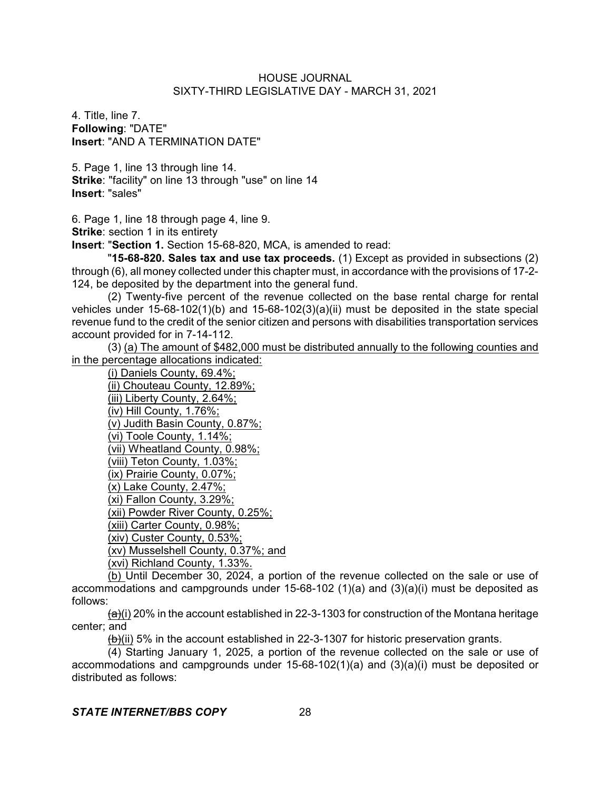4. Title, line 7. **Following**: "DATE" **Insert**: "AND A TERMINATION DATE"

5. Page 1, line 13 through line 14. **Strike**: "facility" on line 13 through "use" on line 14 **Insert**: "sales"

6. Page 1, line 18 through page 4, line 9.

**Strike:** section 1 in its entirety

**Insert**: "**Section 1.** Section 15-68-820, MCA, is amended to read:

"**15-68-820. Sales tax and use tax proceeds.** (1) Except as provided in subsections (2) through (6), all money collected under this chapter must, in accordance with the provisions of 17-2- 124, be deposited by the department into the general fund.

(2) Twenty-five percent of the revenue collected on the base rental charge for rental vehicles under 15-68-102(1)(b) and 15-68-102(3)(a)(ii) must be deposited in the state special revenue fund to the credit of the senior citizen and persons with disabilities transportation services account provided for in 7-14-112.

(3) (a) The amount of \$482,000 must be distributed annually to the following counties and in the percentage allocations indicated:

(i) Daniels County, 69.4%; (ii) Chouteau County, 12.89%; (iii) Liberty County, 2.64%; (iv) Hill County, 1.76%; (v) Judith Basin County, 0.87%; (vi) Toole County, 1.14%; (vii) Wheatland County, 0.98%; (viii) Teton County, 1.03%; (ix) Prairie County, 0.07%; (x) Lake County, 2.47%; (xi) Fallon County, 3.29%; (xii) Powder River County, 0.25%; (xiii) Carter County, 0.98%; (xiv) Custer County, 0.53%; (xv) Musselshell County, 0.37%; and (xvi) Richland County, 1.33%.

(b) Until December 30, 2024, a portion of the revenue collected on the sale or use of accommodations and campgrounds under 15-68-102 (1)(a) and (3)(a)(i) must be deposited as follows:

 $(a)$ (i) 20% in the account established in 22-3-1303 for construction of the Montana heritage center; and

 $(b)(ii)$  5% in the account established in 22-3-1307 for historic preservation grants.

(4) Starting January 1, 2025, a portion of the revenue collected on the sale or use of accommodations and campgrounds under 15-68-102(1)(a) and (3)(a)(i) must be deposited or distributed as follows: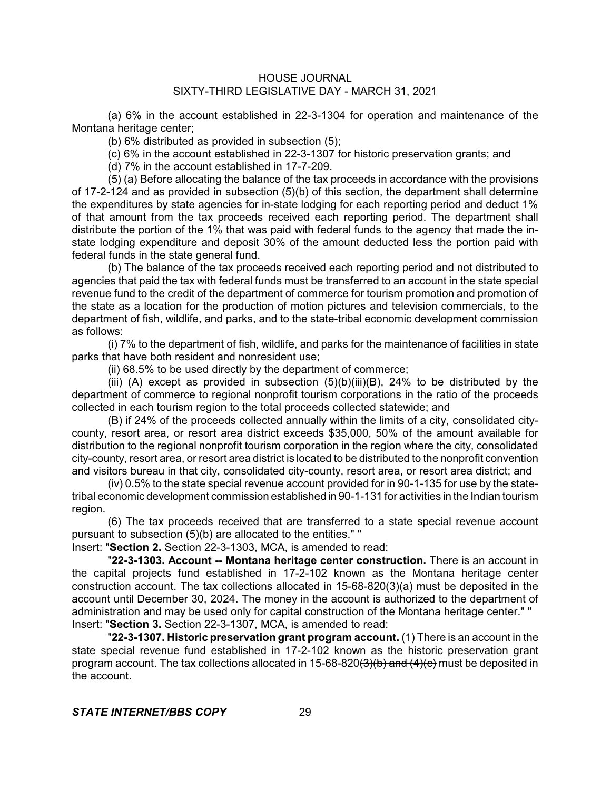(a) 6% in the account established in 22-3-1304 for operation and maintenance of the Montana heritage center;

(b) 6% distributed as provided in subsection (5);

(c) 6% in the account established in 22-3-1307 for historic preservation grants; and

(d) 7% in the account established in 17-7-209.

(5) (a) Before allocating the balance of the tax proceeds in accordance with the provisions of 17-2-124 and as provided in subsection (5)(b) of this section, the department shall determine the expenditures by state agencies for in-state lodging for each reporting period and deduct 1% of that amount from the tax proceeds received each reporting period. The department shall distribute the portion of the 1% that was paid with federal funds to the agency that made the instate lodging expenditure and deposit 30% of the amount deducted less the portion paid with federal funds in the state general fund.

(b) The balance of the tax proceeds received each reporting period and not distributed to agencies that paid the tax with federal funds must be transferred to an account in the state special revenue fund to the credit of the department of commerce for tourism promotion and promotion of the state as a location for the production of motion pictures and television commercials, to the department of fish, wildlife, and parks, and to the state-tribal economic development commission as follows:

(i) 7% to the department of fish, wildlife, and parks for the maintenance of facilities in state parks that have both resident and nonresident use;

(ii) 68.5% to be used directly by the department of commerce;

(iii) (A) except as provided in subsection  $(5)(b)(iii)(B)$ , 24% to be distributed by the department of commerce to regional nonprofit tourism corporations in the ratio of the proceeds collected in each tourism region to the total proceeds collected statewide; and

(B) if 24% of the proceeds collected annually within the limits of a city, consolidated citycounty, resort area, or resort area district exceeds \$35,000, 50% of the amount available for distribution to the regional nonprofit tourism corporation in the region where the city, consolidated city-county, resort area, or resort area district is located to be distributed to the nonprofit convention and visitors bureau in that city, consolidated city-county, resort area, or resort area district; and

(iv) 0.5% to the state special revenue account provided for in 90-1-135 for use by the statetribal economic development commission established in 90-1-131 for activities in the Indian tourism region.

(6) The tax proceeds received that are transferred to a state special revenue account pursuant to subsection (5)(b) are allocated to the entities." "

Insert: "**Section 2.** Section 22-3-1303, MCA, is amended to read:

"**22-3-1303. Account -- Montana heritage center construction.** There is an account in the capital projects fund established in 17-2-102 known as the Montana heritage center construction account. The tax collections allocated in 15-68-820 $(3)(a)$  must be deposited in the account until December 30, 2024. The money in the account is authorized to the department of administration and may be used only for capital construction of the Montana heritage center." " Insert: "**Section 3.** Section 22-3-1307, MCA, is amended to read:

"**22-3-1307. Historic preservation grant program account.** (1) There is an account in the state special revenue fund established in 17-2-102 known as the historic preservation grant program account. The tax collections allocated in 15-68-820 $(3)(b)$  and  $(4)(c)$  must be deposited in the account.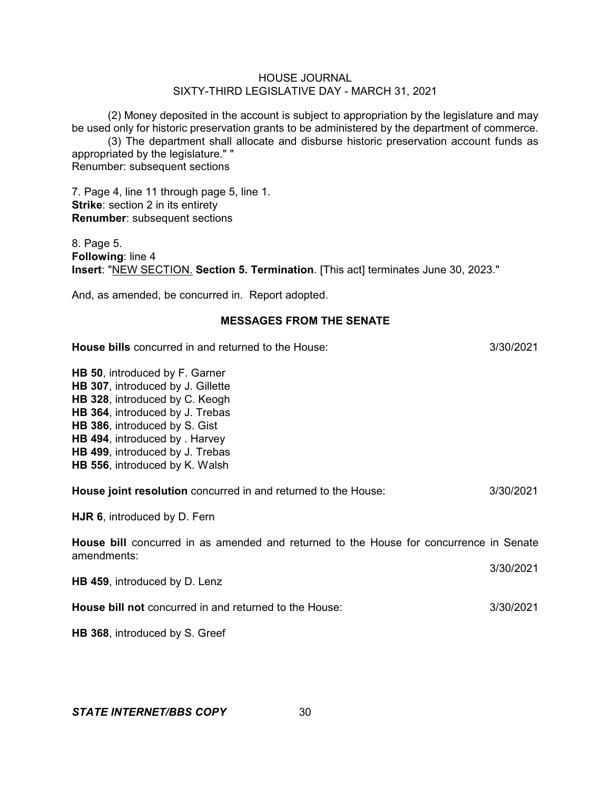(2) Money deposited in the account is subject to appropriation by the legislature and may be used only for historic preservation grants to be administered by the department of commerce.

(3) The department shall allocate and disburse historic preservation account funds as appropriated by the legislature." " Renumber: subsequent sections

7. Page 4, line 11 through page 5, line 1. **Strike:** section 2 in its entirety **Renumber**: subsequent sections

8. Page 5. **Following**: line 4 **Insert**: "NEW SECTION. **Section 5. Termination**. [This act] terminates June 30, 2023."

And, as amended, be concurred in. Report adopted.

## **MESSAGES FROM THE SENATE**

**House bills** concurred in and returned to the House: 3/30/2021 **HB 50**, introduced by F. Garner **HB 307**, introduced by J. Gillette **HB 328**, introduced by C. Keogh **HB 364**, introduced by J. Trebas **HB 386**, introduced by S. Gist **HB 494**, introduced by . Harvey **HB 499**, introduced by J. Trebas **HB 556**, introduced by K. Walsh **House joint resolution** concurred in and returned to the House: 3/30/2021 **HJR 6**, introduced by D. Fern **House bill** concurred in as amended and returned to the House for concurrence in Senate amendments: 3/30/2021 **HB 459**, introduced by D. Lenz **House bill not** concurred in and returned to the House: 3/30/2021 **HB 368**, introduced by S. Greef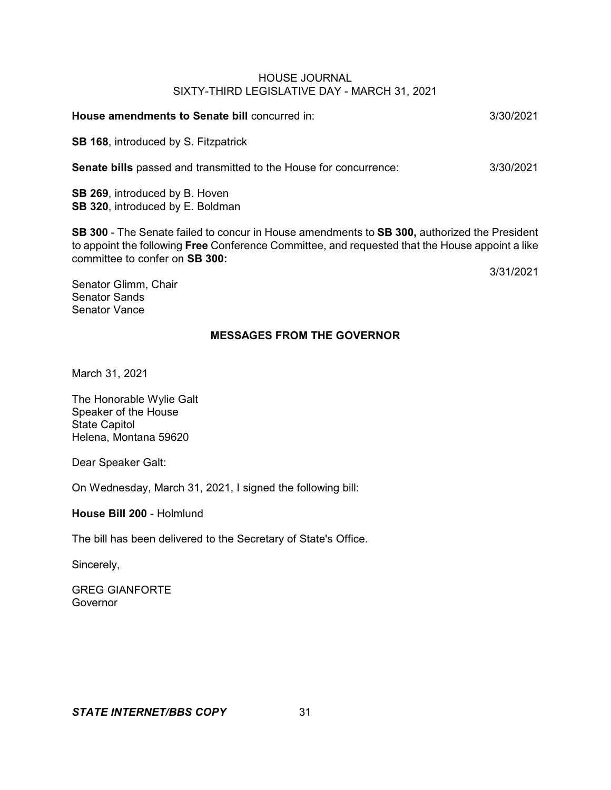## **House amendments to Senate bill** concurred in: 3/30/2021

**SB 168**, introduced by S. Fitzpatrick

**Senate bills** passed and transmitted to the House for concurrence: 3/30/2021

**SB 269**, introduced by B. Hoven **SB 320**, introduced by E. Boldman

**SB 300** - The Senate failed to concur in House amendments to **SB 300,** authorized the President to appoint the following **Free** Conference Committee, and requested that the House appoint a like committee to confer on **SB 300:**

3/31/2021

Senator Glimm, Chair Senator Sands Senator Vance

# **MESSAGES FROM THE GOVERNOR**

March 31, 2021

The Honorable Wylie Galt Speaker of the House State Capitol Helena, Montana 59620

Dear Speaker Galt:

On Wednesday, March 31, 2021, I signed the following bill:

**House Bill 200** - Holmlund

The bill has been delivered to the Secretary of State's Office.

Sincerely,

GREG GIANFORTE Governor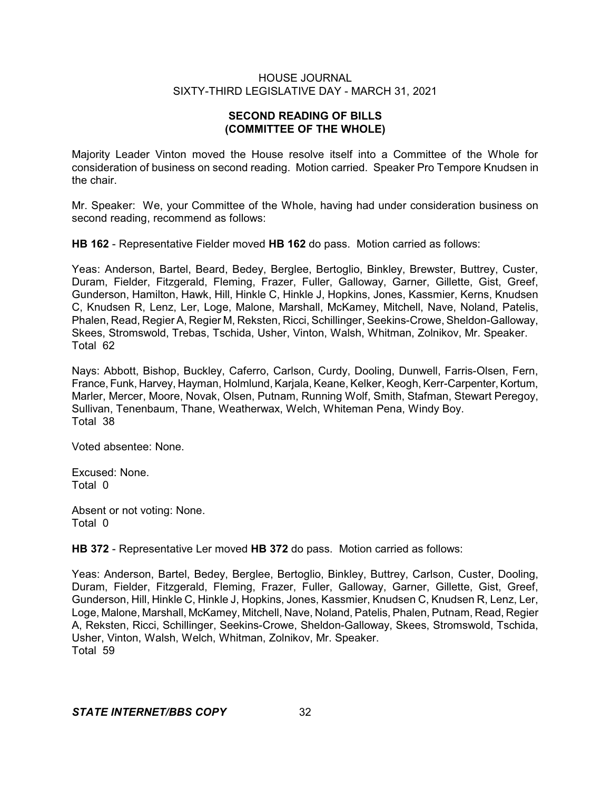# **SECOND READING OF BILLS (COMMITTEE OF THE WHOLE)**

Majority Leader Vinton moved the House resolve itself into a Committee of the Whole for consideration of business on second reading. Motion carried. Speaker Pro Tempore Knudsen in the chair.

Mr. Speaker: We, your Committee of the Whole, having had under consideration business on second reading, recommend as follows:

**HB 162** - Representative Fielder moved **HB 162** do pass. Motion carried as follows:

Yeas: Anderson, Bartel, Beard, Bedey, Berglee, Bertoglio, Binkley, Brewster, Buttrey, Custer, Duram, Fielder, Fitzgerald, Fleming, Frazer, Fuller, Galloway, Garner, Gillette, Gist, Greef, Gunderson, Hamilton, Hawk, Hill, Hinkle C, Hinkle J, Hopkins, Jones, Kassmier, Kerns, Knudsen C, Knudsen R, Lenz, Ler, Loge, Malone, Marshall, McKamey, Mitchell, Nave, Noland, Patelis, Phalen, Read, Regier A, Regier M, Reksten, Ricci, Schillinger, Seekins-Crowe, Sheldon-Galloway, Skees, Stromswold, Trebas, Tschida, Usher, Vinton, Walsh, Whitman, Zolnikov, Mr. Speaker. Total 62

Nays: Abbott, Bishop, Buckley, Caferro, Carlson, Curdy, Dooling, Dunwell, Farris-Olsen, Fern, France, Funk, Harvey, Hayman, Holmlund,Karjala, Keane, Kelker, Keogh, Kerr-Carpenter,Kortum, Marler, Mercer, Moore, Novak, Olsen, Putnam, Running Wolf, Smith, Stafman, Stewart Peregoy, Sullivan, Tenenbaum, Thane, Weatherwax, Welch, Whiteman Pena, Windy Boy. Total 38

Voted absentee: None.

Excused: None. Total 0

Absent or not voting: None. Total 0

**HB 372** - Representative Ler moved **HB 372** do pass. Motion carried as follows:

Yeas: Anderson, Bartel, Bedey, Berglee, Bertoglio, Binkley, Buttrey, Carlson, Custer, Dooling, Duram, Fielder, Fitzgerald, Fleming, Frazer, Fuller, Galloway, Garner, Gillette, Gist, Greef, Gunderson, Hill, Hinkle C, Hinkle J, Hopkins, Jones, Kassmier, Knudsen C, Knudsen R, Lenz, Ler, Loge, Malone, Marshall, McKamey, Mitchell, Nave, Noland, Patelis, Phalen, Putnam, Read, Regier A, Reksten, Ricci, Schillinger, Seekins-Crowe, Sheldon-Galloway, Skees, Stromswold, Tschida, Usher, Vinton, Walsh, Welch, Whitman, Zolnikov, Mr. Speaker. Total 59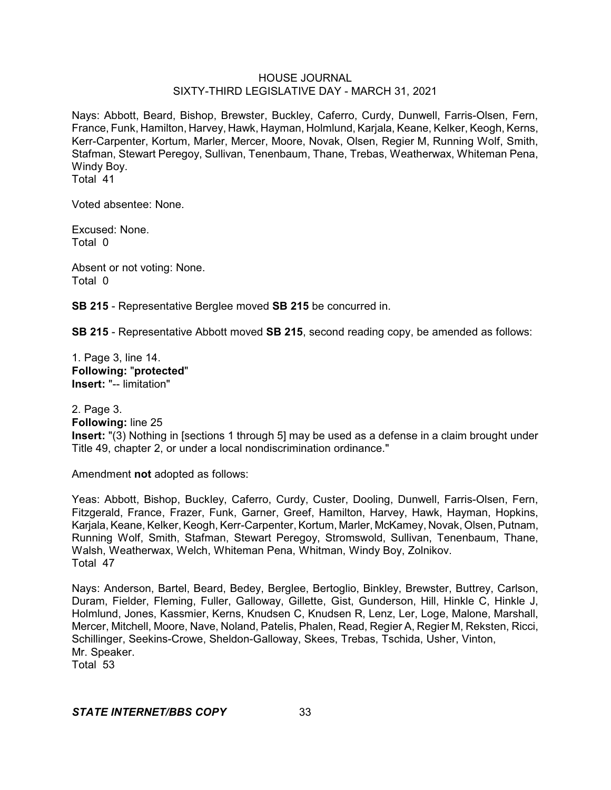Nays: Abbott, Beard, Bishop, Brewster, Buckley, Caferro, Curdy, Dunwell, Farris-Olsen, Fern, France, Funk, Hamilton, Harvey, Hawk, Hayman, Holmlund, Karjala, Keane, Kelker, Keogh, Kerns, Kerr-Carpenter, Kortum, Marler, Mercer, Moore, Novak, Olsen, Regier M, Running Wolf, Smith, Stafman, Stewart Peregoy, Sullivan, Tenenbaum, Thane, Trebas, Weatherwax, Whiteman Pena, Windy Boy. Total 41

Voted absentee: None.

Excused: None. Total 0

Absent or not voting: None. Total 0

**SB 215** - Representative Berglee moved **SB 215** be concurred in.

**SB 215** - Representative Abbott moved **SB 215**, second reading copy, be amended as follows:

1. Page 3, line 14. **Following:** "**protected**" **Insert:** "-- limitation"

2. Page 3. **Following:** line 25 **Insert:** "(3) Nothing in [sections 1 through 5] may be used as a defense in a claim brought under Title 49, chapter 2, or under a local nondiscrimination ordinance."

Amendment **not** adopted as follows:

Yeas: Abbott, Bishop, Buckley, Caferro, Curdy, Custer, Dooling, Dunwell, Farris-Olsen, Fern, Fitzgerald, France, Frazer, Funk, Garner, Greef, Hamilton, Harvey, Hawk, Hayman, Hopkins, Karjala, Keane, Kelker, Keogh, Kerr-Carpenter, Kortum, Marler, McKamey, Novak, Olsen, Putnam, Running Wolf, Smith, Stafman, Stewart Peregoy, Stromswold, Sullivan, Tenenbaum, Thane, Walsh, Weatherwax, Welch, Whiteman Pena, Whitman, Windy Boy, Zolnikov. Total 47

Nays: Anderson, Bartel, Beard, Bedey, Berglee, Bertoglio, Binkley, Brewster, Buttrey, Carlson, Duram, Fielder, Fleming, Fuller, Galloway, Gillette, Gist, Gunderson, Hill, Hinkle C, Hinkle J, Holmlund, Jones, Kassmier, Kerns, Knudsen C, Knudsen R, Lenz, Ler, Loge, Malone, Marshall, Mercer, Mitchell, Moore, Nave, Noland, Patelis, Phalen, Read, Regier A, Regier M, Reksten, Ricci, Schillinger, Seekins-Crowe, Sheldon-Galloway, Skees, Trebas, Tschida, Usher, Vinton, Mr. Speaker.

Total 53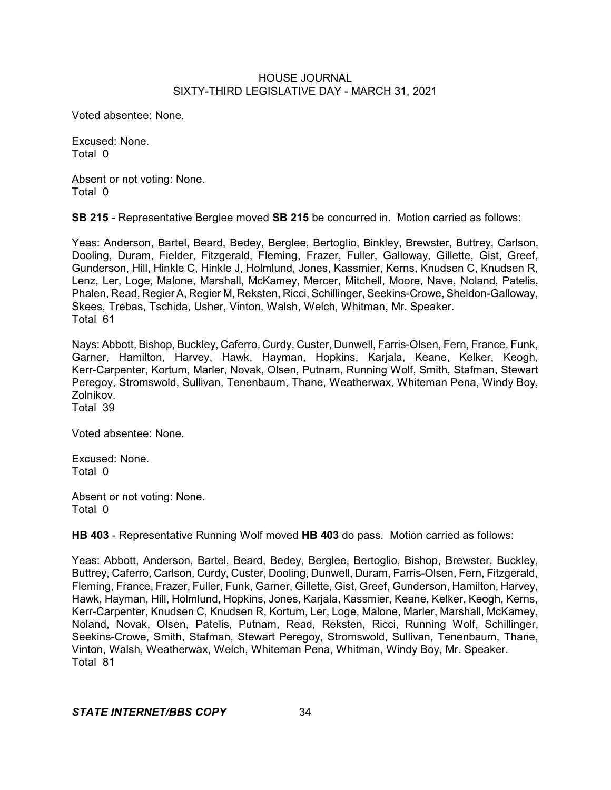Voted absentee: None.

Excused: None. Total 0

Absent or not voting: None. Total 0

**SB 215** - Representative Berglee moved **SB 215** be concurred in. Motion carried as follows:

Yeas: Anderson, Bartel, Beard, Bedey, Berglee, Bertoglio, Binkley, Brewster, Buttrey, Carlson, Dooling, Duram, Fielder, Fitzgerald, Fleming, Frazer, Fuller, Galloway, Gillette, Gist, Greef, Gunderson, Hill, Hinkle C, Hinkle J, Holmlund, Jones, Kassmier, Kerns, Knudsen C, Knudsen R, Lenz, Ler, Loge, Malone, Marshall, McKamey, Mercer, Mitchell, Moore, Nave, Noland, Patelis, Phalen, Read, Regier A, Regier M, Reksten, Ricci, Schillinger, Seekins-Crowe, Sheldon-Galloway, Skees, Trebas, Tschida, Usher, Vinton, Walsh, Welch, Whitman, Mr. Speaker. Total 61

Nays: Abbott, Bishop, Buckley, Caferro, Curdy, Custer, Dunwell, Farris-Olsen, Fern, France, Funk, Garner, Hamilton, Harvey, Hawk, Hayman, Hopkins, Karjala, Keane, Kelker, Keogh, Kerr-Carpenter, Kortum, Marler, Novak, Olsen, Putnam, Running Wolf, Smith, Stafman, Stewart Peregoy, Stromswold, Sullivan, Tenenbaum, Thane, Weatherwax, Whiteman Pena, Windy Boy, Zolnikov. Total 39

Voted absentee: None.

Excused: None. Total 0

Absent or not voting: None. Total 0

**HB 403** - Representative Running Wolf moved **HB 403** do pass. Motion carried as follows:

Yeas: Abbott, Anderson, Bartel, Beard, Bedey, Berglee, Bertoglio, Bishop, Brewster, Buckley, Buttrey, Caferro, Carlson, Curdy, Custer, Dooling, Dunwell, Duram, Farris-Olsen, Fern, Fitzgerald, Fleming, France, Frazer, Fuller, Funk, Garner, Gillette, Gist, Greef, Gunderson, Hamilton, Harvey, Hawk, Hayman, Hill, Holmlund, Hopkins, Jones, Karjala, Kassmier, Keane, Kelker, Keogh, Kerns, Kerr-Carpenter, Knudsen C, Knudsen R, Kortum, Ler, Loge, Malone, Marler, Marshall, McKamey, Noland, Novak, Olsen, Patelis, Putnam, Read, Reksten, Ricci, Running Wolf, Schillinger, Seekins-Crowe, Smith, Stafman, Stewart Peregoy, Stromswold, Sullivan, Tenenbaum, Thane, Vinton, Walsh, Weatherwax, Welch, Whiteman Pena, Whitman, Windy Boy, Mr. Speaker. Total 81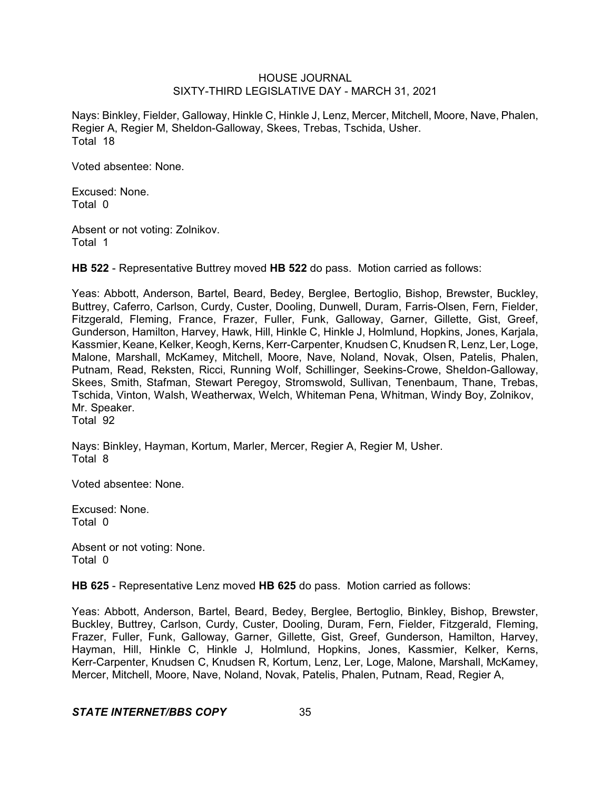Nays: Binkley, Fielder, Galloway, Hinkle C, Hinkle J, Lenz, Mercer, Mitchell, Moore, Nave, Phalen, Regier A, Regier M, Sheldon-Galloway, Skees, Trebas, Tschida, Usher. Total 18

Voted absentee: None.

Excused: None. Total 0

Absent or not voting: Zolnikov. Total 1

**HB 522** - Representative Buttrey moved **HB 522** do pass. Motion carried as follows:

Yeas: Abbott, Anderson, Bartel, Beard, Bedey, Berglee, Bertoglio, Bishop, Brewster, Buckley, Buttrey, Caferro, Carlson, Curdy, Custer, Dooling, Dunwell, Duram, Farris-Olsen, Fern, Fielder, Fitzgerald, Fleming, France, Frazer, Fuller, Funk, Galloway, Garner, Gillette, Gist, Greef, Gunderson, Hamilton, Harvey, Hawk, Hill, Hinkle C, Hinkle J, Holmlund, Hopkins, Jones, Karjala, Kassmier, Keane, Kelker, Keogh, Kerns, Kerr-Carpenter, Knudsen C, Knudsen R, Lenz, Ler, Loge, Malone, Marshall, McKamey, Mitchell, Moore, Nave, Noland, Novak, Olsen, Patelis, Phalen, Putnam, Read, Reksten, Ricci, Running Wolf, Schillinger, Seekins-Crowe, Sheldon-Galloway, Skees, Smith, Stafman, Stewart Peregoy, Stromswold, Sullivan, Tenenbaum, Thane, Trebas, Tschida, Vinton, Walsh, Weatherwax, Welch, Whiteman Pena, Whitman, Windy Boy, Zolnikov, Mr. Speaker. Total 92

Nays: Binkley, Hayman, Kortum, Marler, Mercer, Regier A, Regier M, Usher. Total 8

Voted absentee: None.

Excused: None. Total 0

Absent or not voting: None. Total 0

**HB 625** - Representative Lenz moved **HB 625** do pass. Motion carried as follows:

Yeas: Abbott, Anderson, Bartel, Beard, Bedey, Berglee, Bertoglio, Binkley, Bishop, Brewster, Buckley, Buttrey, Carlson, Curdy, Custer, Dooling, Duram, Fern, Fielder, Fitzgerald, Fleming, Frazer, Fuller, Funk, Galloway, Garner, Gillette, Gist, Greef, Gunderson, Hamilton, Harvey, Hayman, Hill, Hinkle C, Hinkle J, Holmlund, Hopkins, Jones, Kassmier, Kelker, Kerns, Kerr-Carpenter, Knudsen C, Knudsen R, Kortum, Lenz, Ler, Loge, Malone, Marshall, McKamey, Mercer, Mitchell, Moore, Nave, Noland, Novak, Patelis, Phalen, Putnam, Read, Regier A,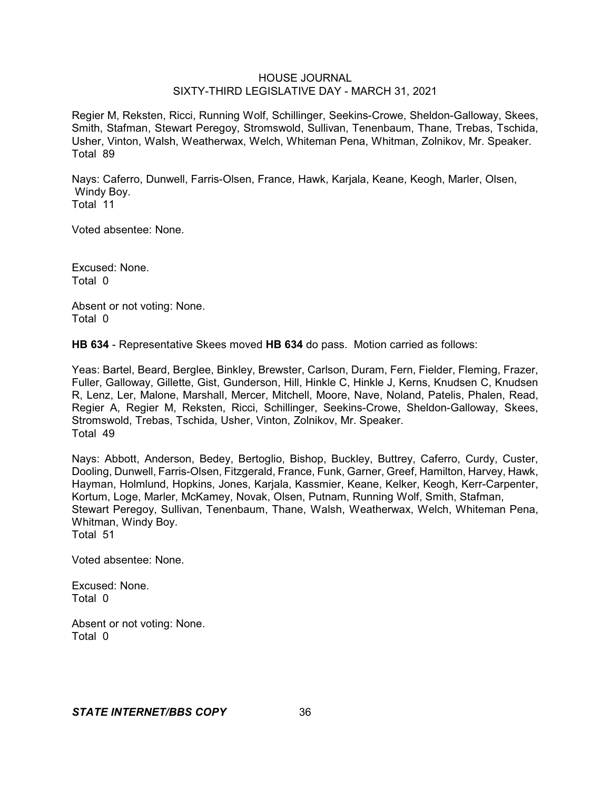Regier M, Reksten, Ricci, Running Wolf, Schillinger, Seekins-Crowe, Sheldon-Galloway, Skees, Smith, Stafman, Stewart Peregoy, Stromswold, Sullivan, Tenenbaum, Thane, Trebas, Tschida, Usher, Vinton, Walsh, Weatherwax, Welch, Whiteman Pena, Whitman, Zolnikov, Mr. Speaker. Total 89

Nays: Caferro, Dunwell, Farris-Olsen, France, Hawk, Karjala, Keane, Keogh, Marler, Olsen, Windy Boy. Total 11

Voted absentee: None.

Excused: None. Total 0

Absent or not voting: None. Total 0

**HB 634** - Representative Skees moved **HB 634** do pass. Motion carried as follows:

Yeas: Bartel, Beard, Berglee, Binkley, Brewster, Carlson, Duram, Fern, Fielder, Fleming, Frazer, Fuller, Galloway, Gillette, Gist, Gunderson, Hill, Hinkle C, Hinkle J, Kerns, Knudsen C, Knudsen R, Lenz, Ler, Malone, Marshall, Mercer, Mitchell, Moore, Nave, Noland, Patelis, Phalen, Read, Regier A, Regier M, Reksten, Ricci, Schillinger, Seekins-Crowe, Sheldon-Galloway, Skees, Stromswold, Trebas, Tschida, Usher, Vinton, Zolnikov, Mr. Speaker. Total 49

Nays: Abbott, Anderson, Bedey, Bertoglio, Bishop, Buckley, Buttrey, Caferro, Curdy, Custer, Dooling, Dunwell, Farris-Olsen, Fitzgerald, France, Funk, Garner, Greef, Hamilton, Harvey, Hawk, Hayman, Holmlund, Hopkins, Jones, Karjala, Kassmier, Keane, Kelker, Keogh, Kerr-Carpenter, Kortum, Loge, Marler, McKamey, Novak, Olsen, Putnam, Running Wolf, Smith, Stafman, Stewart Peregoy, Sullivan, Tenenbaum, Thane, Walsh, Weatherwax, Welch, Whiteman Pena, Whitman, Windy Boy. Total 51

Voted absentee: None.

Excused: None. Total 0

Absent or not voting: None. Total 0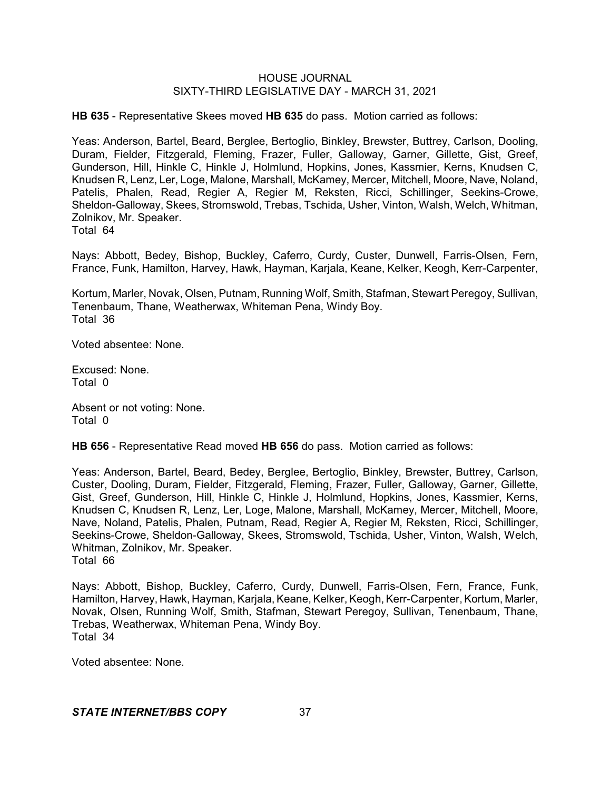**HB 635** - Representative Skees moved **HB 635** do pass. Motion carried as follows:

Yeas: Anderson, Bartel, Beard, Berglee, Bertoglio, Binkley, Brewster, Buttrey, Carlson, Dooling, Duram, Fielder, Fitzgerald, Fleming, Frazer, Fuller, Galloway, Garner, Gillette, Gist, Greef, Gunderson, Hill, Hinkle C, Hinkle J, Holmlund, Hopkins, Jones, Kassmier, Kerns, Knudsen C, Knudsen R, Lenz, Ler, Loge, Malone, Marshall, McKamey, Mercer, Mitchell, Moore, Nave, Noland, Patelis, Phalen, Read, Regier A, Regier M, Reksten, Ricci, Schillinger, Seekins-Crowe, Sheldon-Galloway, Skees, Stromswold, Trebas, Tschida, Usher, Vinton, Walsh, Welch, Whitman, Zolnikov, Mr. Speaker.

Total 64

Nays: Abbott, Bedey, Bishop, Buckley, Caferro, Curdy, Custer, Dunwell, Farris-Olsen, Fern, France, Funk, Hamilton, Harvey, Hawk, Hayman, Karjala, Keane, Kelker, Keogh, Kerr-Carpenter,

Kortum, Marler, Novak, Olsen, Putnam, Running Wolf, Smith, Stafman, Stewart Peregoy, Sullivan, Tenenbaum, Thane, Weatherwax, Whiteman Pena, Windy Boy. Total 36

Voted absentee: None.

Excused: None. Total 0

Absent or not voting: None. Total 0

**HB 656** - Representative Read moved **HB 656** do pass. Motion carried as follows:

Yeas: Anderson, Bartel, Beard, Bedey, Berglee, Bertoglio, Binkley, Brewster, Buttrey, Carlson, Custer, Dooling, Duram, Fielder, Fitzgerald, Fleming, Frazer, Fuller, Galloway, Garner, Gillette, Gist, Greef, Gunderson, Hill, Hinkle C, Hinkle J, Holmlund, Hopkins, Jones, Kassmier, Kerns, Knudsen C, Knudsen R, Lenz, Ler, Loge, Malone, Marshall, McKamey, Mercer, Mitchell, Moore, Nave, Noland, Patelis, Phalen, Putnam, Read, Regier A, Regier M, Reksten, Ricci, Schillinger, Seekins-Crowe, Sheldon-Galloway, Skees, Stromswold, Tschida, Usher, Vinton, Walsh, Welch, Whitman, Zolnikov, Mr. Speaker. Total 66

Nays: Abbott, Bishop, Buckley, Caferro, Curdy, Dunwell, Farris-Olsen, Fern, France, Funk, Hamilton, Harvey, Hawk, Hayman, Karjala, Keane, Kelker, Keogh, Kerr-Carpenter, Kortum, Marler, Novak, Olsen, Running Wolf, Smith, Stafman, Stewart Peregoy, Sullivan, Tenenbaum, Thane, Trebas, Weatherwax, Whiteman Pena, Windy Boy. Total 34

Voted absentee: None.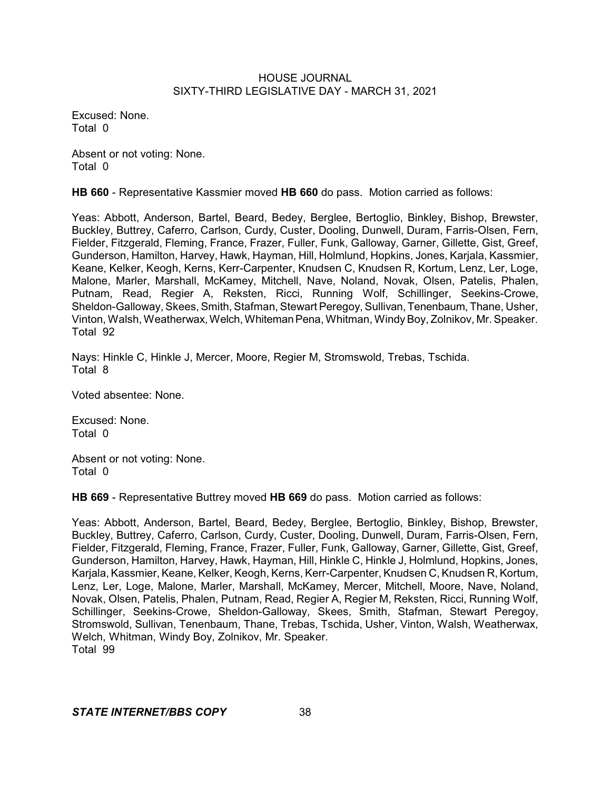Excused: None. Total 0

Absent or not voting: None. Total 0

**HB 660** - Representative Kassmier moved **HB 660** do pass. Motion carried as follows:

Yeas: Abbott, Anderson, Bartel, Beard, Bedey, Berglee, Bertoglio, Binkley, Bishop, Brewster, Buckley, Buttrey, Caferro, Carlson, Curdy, Custer, Dooling, Dunwell, Duram, Farris-Olsen, Fern, Fielder, Fitzgerald, Fleming, France, Frazer, Fuller, Funk, Galloway, Garner, Gillette, Gist, Greef, Gunderson, Hamilton, Harvey, Hawk, Hayman, Hill, Holmlund, Hopkins, Jones, Karjala, Kassmier, Keane, Kelker, Keogh, Kerns, Kerr-Carpenter, Knudsen C, Knudsen R, Kortum, Lenz, Ler, Loge, Malone, Marler, Marshall, McKamey, Mitchell, Nave, Noland, Novak, Olsen, Patelis, Phalen, Putnam, Read, Regier A, Reksten, Ricci, Running Wolf, Schillinger, Seekins-Crowe, Sheldon-Galloway, Skees, Smith, Stafman, Stewart Peregoy, Sullivan, Tenenbaum, Thane, Usher, Vinton, Walsh, Weatherwax, Welch, WhitemanPena, Whitman, WindyBoy, Zolnikov, Mr. Speaker. Total 92

Nays: Hinkle C, Hinkle J, Mercer, Moore, Regier M, Stromswold, Trebas, Tschida. Total 8

Voted absentee: None.

Excused: None. Total 0

Absent or not voting: None. Total 0

**HB 669** - Representative Buttrey moved **HB 669** do pass. Motion carried as follows:

Yeas: Abbott, Anderson, Bartel, Beard, Bedey, Berglee, Bertoglio, Binkley, Bishop, Brewster, Buckley, Buttrey, Caferro, Carlson, Curdy, Custer, Dooling, Dunwell, Duram, Farris-Olsen, Fern, Fielder, Fitzgerald, Fleming, France, Frazer, Fuller, Funk, Galloway, Garner, Gillette, Gist, Greef, Gunderson, Hamilton, Harvey, Hawk, Hayman, Hill, Hinkle C, Hinkle J, Holmlund, Hopkins, Jones, Karjala, Kassmier, Keane, Kelker, Keogh, Kerns, Kerr-Carpenter, Knudsen C, Knudsen R, Kortum, Lenz, Ler, Loge, Malone, Marler, Marshall, McKamey, Mercer, Mitchell, Moore, Nave, Noland, Novak, Olsen, Patelis, Phalen, Putnam, Read, Regier A, Regier M, Reksten, Ricci, Running Wolf, Schillinger, Seekins-Crowe, Sheldon-Galloway, Skees, Smith, Stafman, Stewart Peregoy, Stromswold, Sullivan, Tenenbaum, Thane, Trebas, Tschida, Usher, Vinton, Walsh, Weatherwax, Welch, Whitman, Windy Boy, Zolnikov, Mr. Speaker. Total 99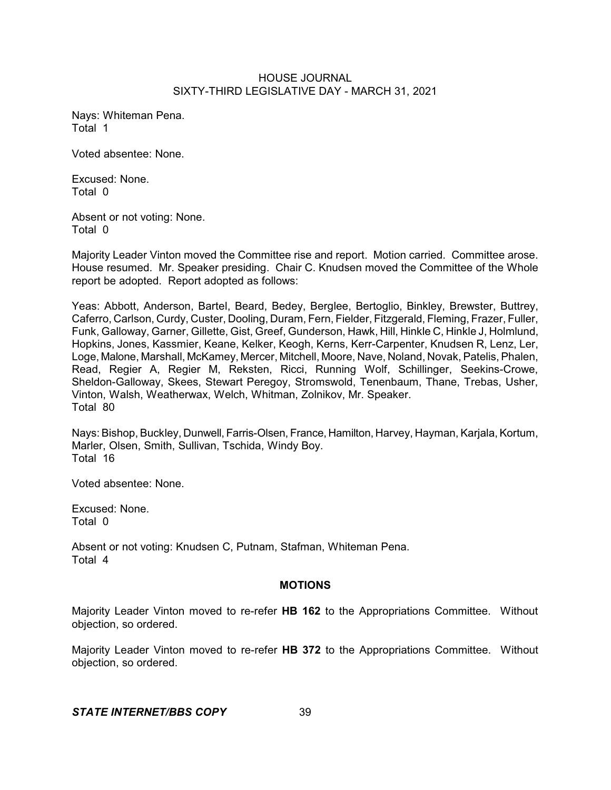Nays: Whiteman Pena. Total 1

Voted absentee: None.

Excused: None. Total 0

Absent or not voting: None. Total 0

Majority Leader Vinton moved the Committee rise and report. Motion carried. Committee arose. House resumed. Mr. Speaker presiding. Chair C. Knudsen moved the Committee of the Whole report be adopted. Report adopted as follows:

Yeas: Abbott, Anderson, Bartel, Beard, Bedey, Berglee, Bertoglio, Binkley, Brewster, Buttrey, Caferro, Carlson, Curdy, Custer, Dooling, Duram, Fern, Fielder, Fitzgerald, Fleming, Frazer, Fuller, Funk, Galloway, Garner, Gillette, Gist, Greef, Gunderson, Hawk, Hill, Hinkle C, Hinkle J, Holmlund, Hopkins, Jones, Kassmier, Keane, Kelker, Keogh, Kerns, Kerr-Carpenter, Knudsen R, Lenz, Ler, Loge, Malone, Marshall, McKamey, Mercer, Mitchell, Moore, Nave, Noland, Novak, Patelis, Phalen, Read, Regier A, Regier M, Reksten, Ricci, Running Wolf, Schillinger, Seekins-Crowe, Sheldon-Galloway, Skees, Stewart Peregoy, Stromswold, Tenenbaum, Thane, Trebas, Usher, Vinton, Walsh, Weatherwax, Welch, Whitman, Zolnikov, Mr. Speaker. Total 80

Nays: Bishop, Buckley, Dunwell, Farris-Olsen, France, Hamilton, Harvey, Hayman, Karjala, Kortum, Marler, Olsen, Smith, Sullivan, Tschida, Windy Boy. Total 16

Voted absentee: None.

Excused: None. Total 0

Absent or not voting: Knudsen C, Putnam, Stafman, Whiteman Pena. Total 4

### **MOTIONS**

Majority Leader Vinton moved to re-refer **HB 162** to the Appropriations Committee. Without objection, so ordered.

Majority Leader Vinton moved to re-refer **HB 372** to the Appropriations Committee. Without objection, so ordered.